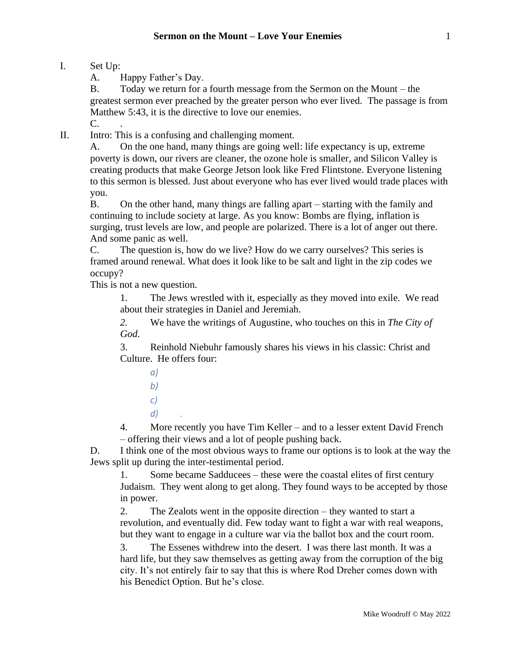I. Set Up:

A. Happy Father's Day.

B. Today we return for a fourth message from the Sermon on the Mount – the greatest sermon ever preached by the greater person who ever lived. The passage is from Matthew 5:43, it is the directive to love our enemies.  $C<sub>1</sub>$ 

II. Intro: This is a confusing and challenging moment.

A. On the one hand, many things are going well: life expectancy is up, extreme poverty is down, our rivers are cleaner, the ozone hole is smaller, and Silicon Valley is creating products that make George Jetson look like Fred Flintstone. Everyone listening to this sermon is blessed. Just about everyone who has ever lived would trade places with you.

B. On the other hand, many things are falling apart – starting with the family and continuing to include society at large. As you know: Bombs are flying, inflation is surging, trust levels are low, and people are polarized. There is a lot of anger out there. And some panic as well.

C. The question is, how do we live? How do we carry ourselves? This series is framed around renewal. What does it look like to be salt and light in the zip codes we occupy?

This is not a new question.

1. The Jews wrestled with it, especially as they moved into exile. We read about their strategies in Daniel and Jeremiah.

*2.* We have the writings of Augustine, who touches on this in *The City of God*.

3. Reinhold Niebuhr famously shares his views in his classic: Christ and Culture. He offers four:

*a) b) c) d) .*

4. More recently you have Tim Keller – and to a lesser extent David French – offering their views and a lot of people pushing back.

D. I think one of the most obvious ways to frame our options is to look at the way the Jews split up during the inter-testimental period.

1. Some became Sadducees – these were the coastal elites of first century Judaism. They went along to get along. They found ways to be accepted by those in power.

2. The Zealots went in the opposite direction – they wanted to start a revolution, and eventually did. Few today want to fight a war with real weapons, but they want to engage in a culture war via the ballot box and the court room.

3. The Essenes withdrew into the desert. I was there last month. It was a hard life, but they saw themselves as getting away from the corruption of the big city. It's not entirely fair to say that this is where Rod Dreher comes down with his Benedict Option. But he's close.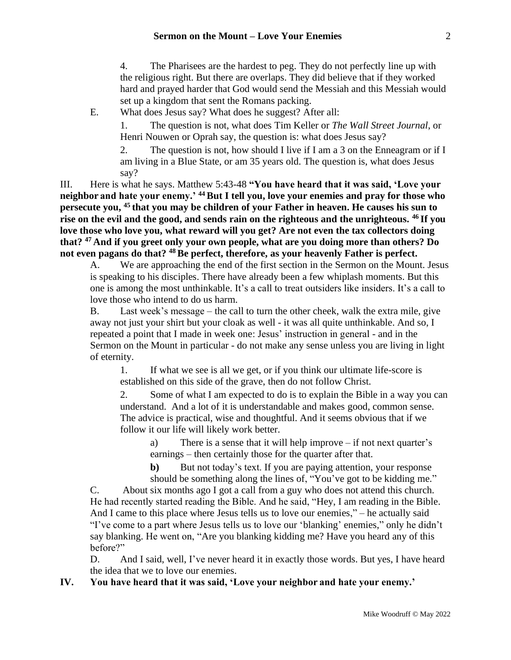4. The Pharisees are the hardest to peg. They do not perfectly line up with the religious right. But there are overlaps. They did believe that if they worked hard and prayed harder that God would send the Messiah and this Messiah would set up a kingdom that sent the Romans packing.

E. What does Jesus say? What does he suggest? After all:

1. The question is not, what does Tim Keller or *The Wall Street Journal*, or Henri Nouwen or Oprah say, the question is: what does Jesus say?

2. The question is not, how should I live if I am a 3 on the Enneagram or if I am living in a Blue State, or am 35 years old. The question is, what does Jesus say?

III. Here is what he says. Matthew 5:43-48 **"You have heard that it was said, 'Love your neighbor and hate your enemy.' <sup>44</sup>But I tell you, love your enemies and pray for those who persecute you, <sup>45</sup> that you may be children of your Father in heaven. He causes his sun to rise on the evil and the good, and sends rain on the righteous and the unrighteous. <sup>46</sup> If you love those who love you, what reward will you get? Are not even the tax collectors doing that? <sup>47</sup> And if you greet only your own people, what are you doing more than others? Do not even pagans do that? <sup>48</sup> Be perfect, therefore, as your heavenly Father is perfect.**

A. We are approaching the end of the first section in the Sermon on the Mount. Jesus is speaking to his disciples. There have already been a few whiplash moments. But this one is among the most unthinkable. It's a call to treat outsiders like insiders. It's a call to love those who intend to do us harm.

B. Last week's message – the call to turn the other cheek, walk the extra mile, give away not just your shirt but your cloak as well - it was all quite unthinkable. And so, I repeated a point that I made in week one: Jesus' instruction in general - and in the Sermon on the Mount in particular - do not make any sense unless you are living in light of eternity.

1. If what we see is all we get, or if you think our ultimate life-score is established on this side of the grave, then do not follow Christ.

2. Some of what I am expected to do is to explain the Bible in a way you can understand. And a lot of it is understandable and makes good, common sense. The advice is practical, wise and thoughtful. And it seems obvious that if we follow it our life will likely work better.

a) There is a sense that it will help improve – if not next quarter's earnings – then certainly those for the quarter after that.

**b**) But not today's text. If you are paying attention, your response should be something along the lines of, "You've got to be kidding me."

C. About six months ago I got a call from a guy who does not attend this church. He had recently started reading the Bible. And he said, "Hey, I am reading in the Bible. And I came to this place where Jesus tells us to love our enemies," – he actually said "I've come to a part where Jesus tells us to love our 'blanking' enemies," only he didn't say blanking. He went on, "Are you blanking kidding me? Have you heard any of this before?"

D. And I said, well, I've never heard it in exactly those words. But yes, I have heard the idea that we to love our enemies.

**IV. You have heard that it was said, 'Love your neighbor and hate your enemy.'**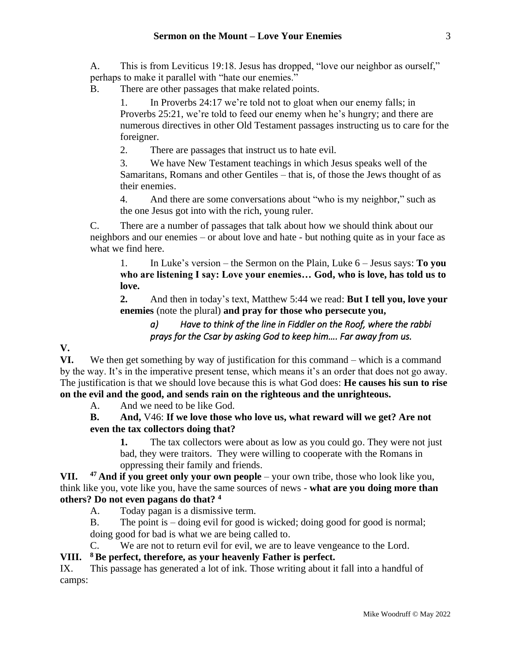A. This is from Leviticus 19:18. Jesus has dropped, "love our neighbor as ourself," perhaps to make it parallel with "hate our enemies."

B. There are other passages that make related points.

1. In Proverbs 24:17 we're told not to gloat when our enemy falls; in Proverbs 25:21, we're told to feed our enemy when he's hungry; and there are numerous directives in other Old Testament passages instructing us to care for the foreigner.

2. There are passages that instruct us to hate evil.

3. We have New Testament teachings in which Jesus speaks well of the Samaritans, Romans and other Gentiles – that is, of those the Jews thought of as their enemies.

4. And there are some conversations about "who is my neighbor," such as the one Jesus got into with the rich, young ruler.

C. There are a number of passages that talk about how we should think about our neighbors and our enemies – or about love and hate - but nothing quite as in your face as what we find here.

1. In Luke's version – the Sermon on the Plain, Luke 6 – Jesus says: **To you who are listening I say: Love your enemies… God, who is love, has told us to love.**

**2.** And then in today's text, Matthew 5:44 we read: **But I tell you, love your enemies** (note the plural) **and pray for those who persecute you,**

#### *a) Have to think of the line in Fiddler on the Roof, where the rabbi prays for the Csar by asking God to keep him…. Far away from us.*

**V.**

**VI.** We then get something by way of justification for this command – which is a command by the way. It's in the imperative present tense, which means it's an order that does not go away. The justification is that we should love because this is what God does: **He causes his sun to rise on the evil and the good, and sends rain on the righteous and the unrighteous.**

A. And we need to be like God.

**B. And,** V46: **If we love those who love us, what reward will we get? Are not even the tax collectors doing that?**

**1.** The tax collectors were about as low as you could go. They were not just bad, they were traitors. They were willing to cooperate with the Romans in oppressing their family and friends.

**VII.** 47 And if you greet only your own people – your own tribe, those who look like you, think like you, vote like you, have the same sources of news - **what are you doing more than others? Do not even pagans do that? <sup>4</sup>**

A. Today pagan is a dismissive term.

B. The point is – doing evil for good is wicked; doing good for good is normal;

doing good for bad is what we are being called to.

C. We are not to return evil for evil, we are to leave vengeance to the Lord.

#### **VIII. <sup>8</sup>Be perfect, therefore, as your heavenly Father is perfect.**

IX. This passage has generated a lot of ink. Those writing about it fall into a handful of camps: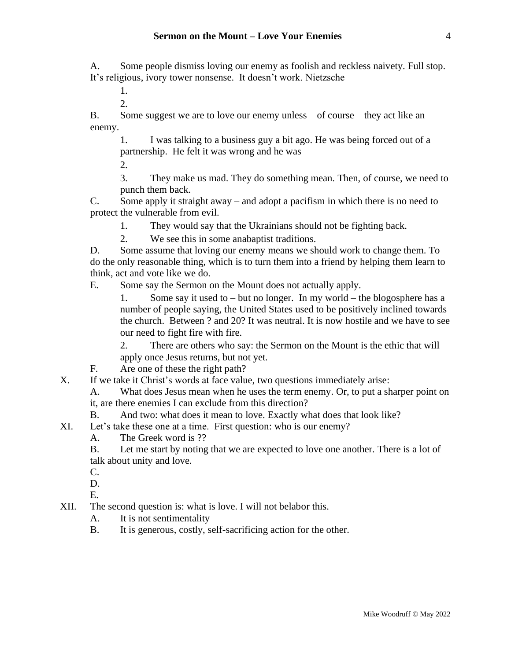#### **Sermon on the Mount – Love Your Enemies**

A. Some people dismiss loving our enemy as foolish and reckless naivety. Full stop. It's religious, ivory tower nonsense. It doesn't work. Nietzsche

1.

2.

B. Some suggest we are to love our enemy unless – of course – they act like an enemy.

1. I was talking to a business guy a bit ago. He was being forced out of a partnership. He felt it was wrong and he was

2.

3. They make us mad. They do something mean. Then, of course, we need to punch them back.

C. Some apply it straight away – and adopt a pacifism in which there is no need to protect the vulnerable from evil.

1. They would say that the Ukrainians should not be fighting back.

2. We see this in some anabaptist traditions.

D. Some assume that loving our enemy means we should work to change them. To do the only reasonable thing, which is to turn them into a friend by helping them learn to think, act and vote like we do.

E. Some say the Sermon on the Mount does not actually apply.

1. Some say it used to – but no longer. In my world – the blogosphere has a number of people saying, the United States used to be positively inclined towards the church. Between ? and 20? It was neutral. It is now hostile and we have to see our need to fight fire with fire.

2. There are others who say: the Sermon on the Mount is the ethic that will apply once Jesus returns, but not yet.

- F. Are one of these the right path?
- X. If we take it Christ's words at face value, two questions immediately arise:

A. What does Jesus mean when he uses the term enemy. Or, to put a sharper point on it, are there enemies I can exclude from this direction?

B. And two: what does it mean to love. Exactly what does that look like?

XI. Let's take these one at a time. First question: who is our enemy?

A. The Greek word is ??

B. Let me start by noting that we are expected to love one another. There is a lot of talk about unity and love.

C.

D.

E.

XII. The second question is: what is love. I will not belabor this.

- A. It is not sentimentality
- B. It is generous, costly, self-sacrificing action for the other.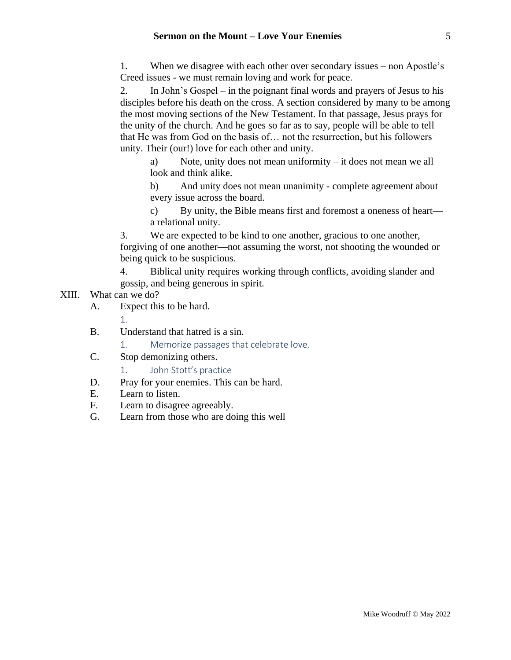#### **Sermon on the Mount – Love Your Enemies**

1. When we disagree with each other over secondary issues – non Apostle's Creed issues - we must remain loving and work for peace.

2. In John's Gospel – in the poignant final words and prayers of Jesus to his disciples before his death on the cross. A section considered by many to be among the most moving sections of the New Testament. In that passage, Jesus prays for the unity of the church. And he goes so far as to say, people will be able to tell that He was from God on the basis of… not the resurrection, but his followers unity. Their (our!) love for each other and unity.

a) Note, unity does not mean uniformity – it does not mean we all look and think alike.

b) And unity does not mean unanimity - complete agreement about every issue across the board.

c) By unity, the Bible means first and foremost a oneness of heart a relational unity.

3. We are expected to be kind to one another, gracious to one another, forgiving of one another—not assuming the worst, not shooting the wounded or being quick to be suspicious.

4. Biblical unity requires working through conflicts, avoiding slander and gossip, and being generous in spirit.

- XIII. What can we do?
	- A. Expect this to be hard.

1.

B. Understand that hatred is a sin.

1. Memorize passages that celebrate love.

- C. Stop demonizing others.
	- 1. John Stott's practice
- D. Pray for your enemies. This can be hard.
- E. Learn to listen.
- F. Learn to disagree agreeably.
- G. Learn from those who are doing this well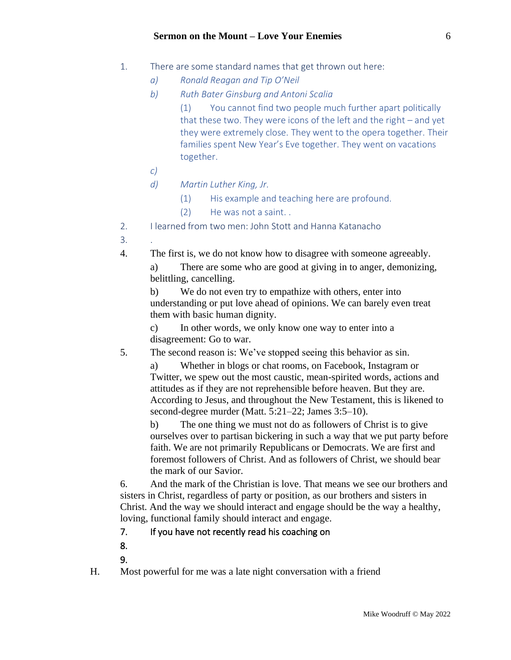#### **Sermon on the Mount – Love Your Enemies**

- 1. There are some standard names that get thrown out here:
	- *a) Ronald Reagan and Tip O'Neil*
	- *b) Ruth Bater Ginsburg and Antoni Scalia*

(1) You cannot find two people much further apart politically that these two. They were icons of the left and the right – and yet they were extremely close. They went to the opera together. Their families spent New Year's Eve together. They went on vacations together.

- *c)*
- *d) Martin Luther King, Jr.*
	- (1) His example and teaching here are profound.
	- (2) He was not a saint. .
- 2. I learned from two men: John Stott and Hanna Katanacho
- $3<sub>l</sub>$
- 4. The first is, we do not know how to disagree with someone agreeably.

a) There are some who are good at giving in to anger, demonizing, belittling, cancelling.

b) We do not even try to empathize with others, enter into understanding or put love ahead of opinions. We can barely even treat them with basic human dignity.

c) In other words, we only know one way to enter into a disagreement: Go to war.

5. The second reason is: We've stopped seeing this behavior as sin.

a) Whether in blogs or chat rooms, on Facebook, Instagram or Twitter, we spew out the most caustic, mean-spirited words, actions and attitudes as if they are not reprehensible before heaven. But they are. According to Jesus, and throughout the New Testament, this is likened to second-degree murder (Matt. 5:21–22; James 3:5–10).

b) The one thing we must not do as followers of Christ is to give ourselves over to partisan bickering in such a way that we put party before faith. We are not primarily Republicans or Democrats. We are first and foremost followers of Christ. And as followers of Christ, we should bear the mark of our Savior.

6. And the mark of the Christian is love. That means we see our brothers and sisters in Christ, regardless of party or position, as our brothers and sisters in Christ. And the way we should interact and engage should be the way a healthy, loving, functional family should interact and engage.

#### 7. If you have not recently read his coaching on

- 8.
- 9.
- H. Most powerful for me was a late night conversation with a friend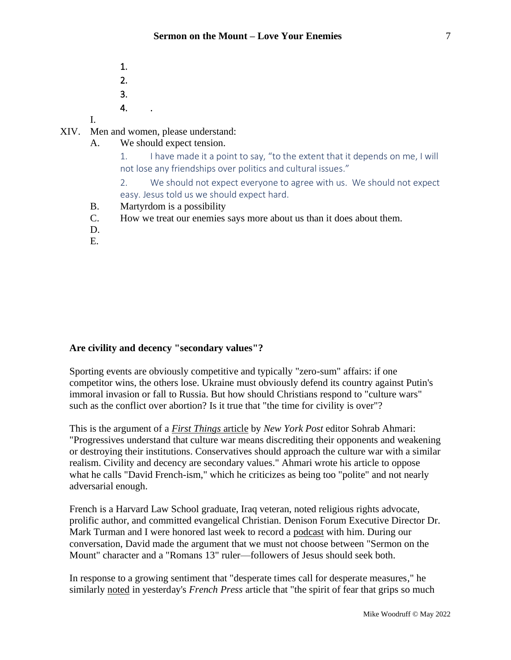- 1. 2. 3.  $4.$
- I.

XIV. Men and women, please understand:

A. We should expect tension.

1. I have made it a point to say, "to the extent that it depends on me, I will not lose any friendships over politics and cultural issues."

- 2. We should not expect everyone to agree with us. We should not expect easy. Jesus told us we should expect hard.
- B. Martyrdom is a possibility
- C. How we treat our enemies says more about us than it does about them.
- D.
- E.

#### **Are civility and decency "secondary values"?**

Sporting events are obviously competitive and typically "zero-sum" affairs: if one competitor wins, the others lose. Ukraine must obviously defend its country against Putin's immoral invasion or fall to Russia. But how should Christians respond to "culture wars" such as the conflict over abortion? Is it true that "the time for civility is over"?

This is the argument of a *[First Things](https://denisonministries.lt.acemlnc.com/Prod/link-tracker?redirectUrl=aHR0cHMlM0ElMkYlMkZ3d3cuZmlyc3R0aGluZ3MuY29tJTJGd2ViLWV4Y2x1c2l2ZXMlMkYyMDE5JTJGMDUlMkZhZ2FpbnN0LWRhdmlkLWZyZW5jaC1pc20=&sig=14sjkQ3xRzsHjPHPNvRQGx7VJAYt6MmCs3mr4kAPGupf&iat=1652093741&a=%7C%7C27068980%7C%7C&account=denisonministries%2Eactivehosted%2Ecom&email=oh6Oq8zrl0UQ4RB1Q3%2FUavLwAW%2FrfNKIZwM8QfTbkoc%3D&s=d49a45961ab10f30225d8d060aedf94c&i=831A877A5A16917)* article by *New York Post* editor Sohrab Ahmari: "Progressives understand that culture war means discrediting their opponents and weakening or destroying their institutions. Conservatives should approach the culture war with a similar realism. Civility and decency are secondary values." Ahmari wrote his article to oppose what he calls "David French-ism," which he criticizes as being too "polite" and not nearly adversarial enough.

French is a Harvard Law School graduate, Iraq veteran, noted religious rights advocate, prolific author, and committed evangelical Christian. Denison Forum Executive Director Dr. Mark Turman and I were honored last week to record a [podcast](https://denisonministries.lt.acemlnc.com/Prod/link-tracker?redirectUrl=aHR0cHMlM0ElMkYlMkZwb2RjYXN0cy5hcHBsZS5jb20lMkZ1cyUyRnBvZGNhc3QlMkZ0aGUtZGVuaXNvbi1mb3J1bS1wb2RjYXN0JTJGaWQxNjAzMjk3NDA5JTNGaSUzRDEwMDA1NTk5MDczMTE=&sig=BMncZ2TqJNFqL3GEqBGmirUx8DNGLmQtCdC8jZgz4yjv&iat=1652093741&a=%7C%7C27068980%7C%7C&account=denisonministries%2Eactivehosted%2Ecom&email=oh6Oq8zrl0UQ4RB1Q3%2FUavLwAW%2FrfNKIZwM8QfTbkoc%3D&s=d49a45961ab10f30225d8d060aedf94c&i=831A877A5A16918) with him. During our conversation, David made the argument that we must not choose between "Sermon on the Mount" character and a "Romans 13" ruler—followers of Jesus should seek both.

In response to a growing sentiment that "desperate times call for desperate measures," he similarly [noted](https://denisonministries.lt.acemlnc.com/Prod/link-tracker?redirectUrl=aHR0cHMlM0ElMkYlMkZmcmVuY2hwcmVzcy50aGVkaXNwYXRjaC5jb20lMkZwJTJGYS1jcml0aXF1ZS1vZi10aW0ta2VsbGVyLXJldmVhbHM=&sig=5izLmhRfrEzt3RFcUadWnjcXTnM6PxjU1PCkT12JcCSi&iat=1652093741&a=%7C%7C27068980%7C%7C&account=denisonministries%2Eactivehosted%2Ecom&email=oh6Oq8zrl0UQ4RB1Q3%2FUavLwAW%2FrfNKIZwM8QfTbkoc%3D&s=d49a45961ab10f30225d8d060aedf94c&i=831A877A5A16919) in yesterday's *French Press* article that "the spirit of fear that grips so much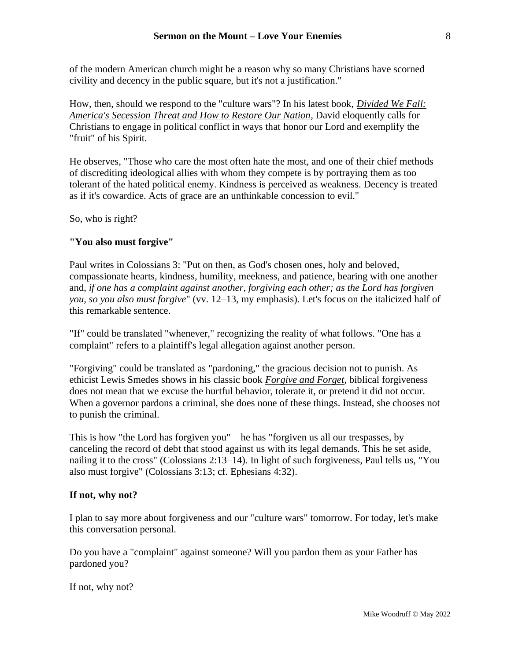of the modern American church might be a reason why so many Christians have scorned civility and decency in the public square, but it's not a justification."

How, then, should we respond to the "culture wars"? In his latest book, *[Divided We Fall:](https://denisonministries.lt.acemlnc.com/Prod/link-tracker?redirectUrl=aHR0cHMlM0ElMkYlMkZ3d3cuZGVuaXNvbmZvcnVtLm9yZyUyRnBvcHVsYXItY3VsdHVyZSUyRmJvb2stcmV2aWV3cy1leGNlcnB0cyUyRndpbGwtYW1lcmljYS1icmVhay11cC1pbi1kaXZpZGVkLXdlLWZhbGwtZGF2aWQtZnJlbmNoLXNheXMtaXRzLXBvc3NpYmxlJTJG&sig=8An9pfGUmx4rFRzkmGWr4s8J2trKwCHyWCASwyYVVmoP&iat=1652093741&a=%7C%7C27068980%7C%7C&account=denisonministries%2Eactivehosted%2Ecom&email=oh6Oq8zrl0UQ4RB1Q3%2FUavLwAW%2FrfNKIZwM8QfTbkoc%3D&s=d49a45961ab10f30225d8d060aedf94c&i=831A877A5A16920)  [America's Secession Threat and How to Restore Our Nation](https://denisonministries.lt.acemlnc.com/Prod/link-tracker?redirectUrl=aHR0cHMlM0ElMkYlMkZ3d3cuZGVuaXNvbmZvcnVtLm9yZyUyRnBvcHVsYXItY3VsdHVyZSUyRmJvb2stcmV2aWV3cy1leGNlcnB0cyUyRndpbGwtYW1lcmljYS1icmVhay11cC1pbi1kaXZpZGVkLXdlLWZhbGwtZGF2aWQtZnJlbmNoLXNheXMtaXRzLXBvc3NpYmxlJTJG&sig=8An9pfGUmx4rFRzkmGWr4s8J2trKwCHyWCASwyYVVmoP&iat=1652093741&a=%7C%7C27068980%7C%7C&account=denisonministries%2Eactivehosted%2Ecom&email=oh6Oq8zrl0UQ4RB1Q3%2FUavLwAW%2FrfNKIZwM8QfTbkoc%3D&s=d49a45961ab10f30225d8d060aedf94c&i=831A877A5A16920)*, David eloquently calls for Christians to engage in political conflict in ways that honor our Lord and exemplify the "fruit" of his Spirit.

He observes, "Those who care the most often hate the most, and one of their chief methods of discrediting ideological allies with whom they compete is by portraying them as too tolerant of the hated political enemy. Kindness is perceived as weakness. Decency is treated as if it's cowardice. Acts of grace are an unthinkable concession to evil."

So, who is right?

#### **"You also must forgive"**

Paul writes in Colossians 3: "Put on then, as God's chosen ones, holy and beloved, compassionate hearts, kindness, humility, meekness, and patience, bearing with one another and, *if one has a complaint against another, forgiving each other; as the Lord has forgiven you, so you also must forgive*" (vv. 12–13, my emphasis). Let's focus on the italicized half of this remarkable sentence.

"If" could be translated "whenever," recognizing the reality of what follows. "One has a complaint" refers to a plaintiff's legal allegation against another person.

"Forgiving" could be translated as "pardoning," the gracious decision not to punish. As ethicist Lewis Smedes shows in his classic book *[Forgive and Forget](https://denisonministries.lt.acemlnc.com/Prod/link-tracker?redirectUrl=aHR0cHMlM0ElMkYlMkZ3d3cuYW1hem9uLmNvbSUyRkZvcmdpdmUtRm9yZ2V0LUhlYWxpbmctSHVydHMtRGVzZXJ2ZSUyRmRwJTJGMDA2MTI4NTgyWA==&sig=FaxnCL5Xu6HuXkA8kyAbZpdi2YfgU1ovjcE2kAZj8tKb&iat=1652093741&a=%7C%7C27068980%7C%7C&account=denisonministries%2Eactivehosted%2Ecom&email=oh6Oq8zrl0UQ4RB1Q3%2FUavLwAW%2FrfNKIZwM8QfTbkoc%3D&s=d49a45961ab10f30225d8d060aedf94c&i=831A877A5A16921)*, biblical forgiveness does not mean that we excuse the hurtful behavior, tolerate it, or pretend it did not occur. When a governor pardons a criminal, she does none of these things. Instead, she chooses not to punish the criminal.

This is how "the Lord has forgiven you"—he has "forgiven us all our trespasses, by canceling the record of debt that stood against us with its legal demands. This he set aside, nailing it to the cross" (Colossians 2:13–14). In light of such forgiveness, Paul tells us, "You also must forgive" (Colossians 3:13; cf. Ephesians 4:32).

#### **If not, why not?**

I plan to say more about forgiveness and our "culture wars" tomorrow. For today, let's make this conversation personal.

Do you have a "complaint" against someone? Will you pardon them as your Father has pardoned you?

If not, why not?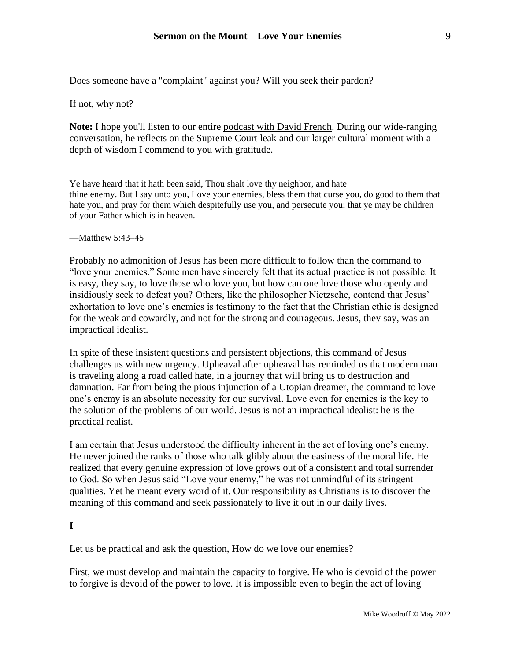Does someone have a "complaint" against you? Will you seek their pardon?

If not, why not?

**Note:** I hope you'll listen to our entire [podcast with David French.](https://denisonministries.lt.acemlnc.com/Prod/link-tracker?redirectUrl=aHR0cHMlM0ElMkYlMkZwb2RjYXN0cy5hcHBsZS5jb20lMkZ1cyUyRnBvZGNhc3QlMkZ0aGUtZGVuaXNvbi1mb3J1bS1wb2RjYXN0JTJGaWQxNjAzMjk3NDA5JTNGaSUzRDEwMDA1NTk5MDczMTE=&sig=BMncZ2TqJNFqL3GEqBGmirUx8DNGLmQtCdC8jZgz4yjv&iat=1652093741&a=%7C%7C27068980%7C%7C&account=denisonministries%2Eactivehosted%2Ecom&email=oh6Oq8zrl0UQ4RB1Q3%2FUavLwAW%2FrfNKIZwM8QfTbkoc%3D&s=d49a45961ab10f30225d8d060aedf94c&i=831A877A5A16918) During our wide-ranging conversation, he reflects on the Supreme Court leak and our larger cultural moment with a depth of wisdom I commend to you with gratitude.

Ye have heard that it hath been said, Thou shalt love thy neighbor, and hate thine enemy. But I say unto you, Love your enemies, bless them that curse you, do good to them that hate you, and pray for them which despitefully use you, and persecute you; that ye may be children of your Father which is in heaven.

#### —Matthew 5:43–45

Probably no admonition of Jesus has been more difficult to follow than the command to "love your enemies." Some men have sincerely felt that its actual practice is not possible. It is easy, they say, to love those who love you, but how can one love those who openly and insidiously seek to defeat you? Others, like the philosopher Nietzsche, contend that Jesus' exhortation to love one's enemies is testimony to the fact that the Christian ethic is designed for the weak and cowardly, and not for the strong and courageous. Jesus, they say, was an impractical idealist.

In spite of these insistent questions and persistent objections, this command of Jesus challenges us with new urgency. Upheaval after upheaval has reminded us that modern man is traveling along a road called hate, in a journey that will bring us to destruction and damnation. Far from being the pious injunction of a Utopian dreamer, the command to love one's enemy is an absolute necessity for our survival. Love even for enemies is the key to the solution of the problems of our world. Jesus is not an impractical idealist: he is the practical realist.

I am certain that Jesus understood the difficulty inherent in the act of loving one's enemy. He never joined the ranks of those who talk glibly about the easiness of the moral life. He realized that every genuine expression of love grows out of a consistent and total surrender to God. So when Jesus said "Love your enemy," he was not unmindful of its stringent qualities. Yet he meant every word of it. Our responsibility as Christians is to discover the meaning of this command and seek passionately to live it out in our daily lives.

#### **I**

Let us be practical and ask the question, How do we love our enemies?

First, we must develop and maintain the capacity to forgive. He who is devoid of the power to forgive is devoid of the power to love. It is impossible even to begin the act of loving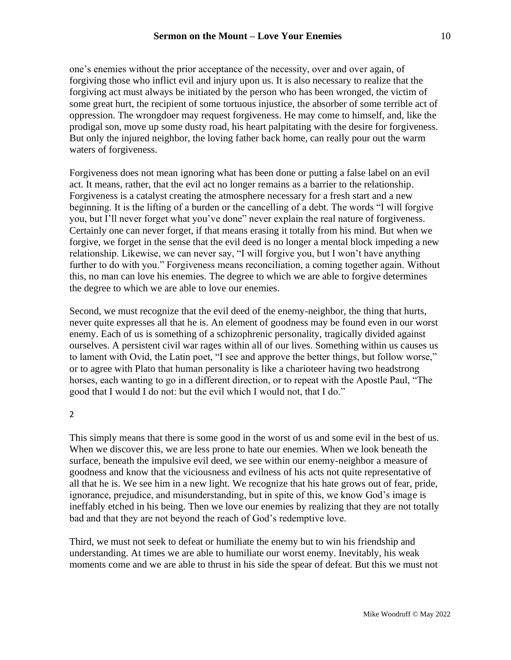one's enemies without the prior acceptance of the necessity, over and over again, of forgiving those who inflict evil and injury upon us. It is also necessary to realize that the forgiving act must always be initiated by the person who has been wronged, the victim of some great hurt, the recipient of some tortuous injustice, the absorber of some terrible act of oppression. The wrongdoer may request forgiveness. He may come to himself, and, like the prodigal son, move up some dusty road, his heart palpitating with the desire for forgiveness. But only the injured neighbor, the loving father back home, can really pour out the warm waters of forgiveness.

Forgiveness does not mean ignoring what has been done or putting a false label on an evil act. It means, rather, that the evil act no longer remains as a barrier to the relationship. Forgiveness is a catalyst creating the atmosphere necessary for a fresh start and a new beginning. It is the lifting of a burden or the cancelling of a debt. The words "I will forgive you, but I'll never forget what you've done" never explain the real nature of forgiveness. Certainly one can never forget, if that means erasing it totally from his mind. But when we forgive, we forget in the sense that the evil deed is no longer a mental block impeding a new relationship. Likewise, we can never say, "I will forgive you, but I won't have anything further to do with you." Forgiveness means reconciliation, a coming together again. Without this, no man can love his enemies. The degree to which we are able to forgive determines the degree to which we are able to love our enemies.

Second, we must recognize that the evil deed of the enemy-neighbor, the thing that hurts, never quite expresses all that he is. An element of goodness may be found even in our worst enemy. Each of us is something of a schizophrenic personality, tragically divided against ourselves. A persistent civil war rages within all of our lives. Something within us causes us to lament with Ovid, the Latin poet, "I see and approve the better things, but follow worse," or to agree with Plato that human personality is like a charioteer having two headstrong horses, each wanting to go in a different direction, or to repeat with the Apostle Paul, "The good that I would I do not: but the evil which I would not, that I do."

#### 2

This simply means that there is some good in the worst of us and some evil in the best of us. When we discover this, we are less prone to hate our enemies. When we look beneath the surface, beneath the impulsive evil deed, we see within our enemy-neighbor a measure of goodness and know that the viciousness and evilness of his acts not quite representative of all that he is. We see him in a new light. We recognize that his hate grows out of fear, pride, ignorance, prejudice, and misunderstanding, but in spite of this, we know God's image is ineffably etched in his being. Then we love our enemies by realizing that they are not totally bad and that they are not beyond the reach of God's redemptive love.

Third, we must not seek to defeat or humiliate the enemy but to win his friendship and understanding. At times we are able to humiliate our worst enemy. Inevitably, his weak moments come and we are able to thrust in his side the spear of defeat. But this we must not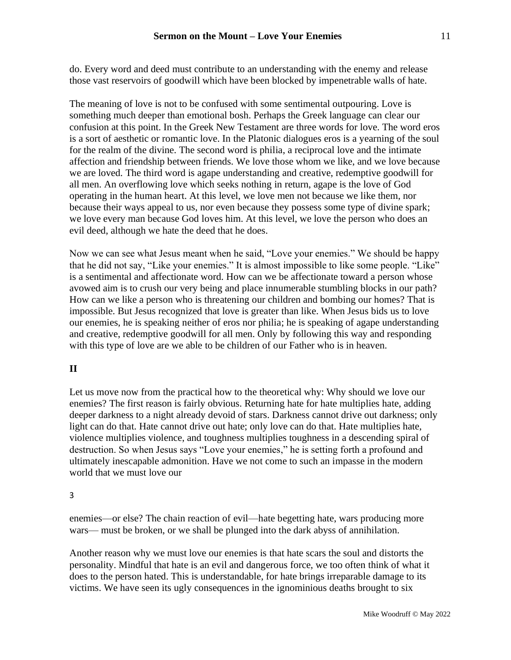do. Every word and deed must contribute to an understanding with the enemy and release those vast reservoirs of goodwill which have been blocked by impenetrable walls of hate.

The meaning of love is not to be confused with some sentimental outpouring. Love is something much deeper than emotional bosh. Perhaps the Greek language can clear our confusion at this point. In the Greek New Testament are three words for love. The word eros is a sort of aesthetic or romantic love. In the Platonic dialogues eros is a yearning of the soul for the realm of the divine. The second word is philia, a reciprocal love and the intimate affection and friendship between friends. We love those whom we like, and we love because we are loved. The third word is agape understanding and creative, redemptive goodwill for all men. An overflowing love which seeks nothing in return, agape is the love of God operating in the human heart. At this level, we love men not because we like them, nor because their ways appeal to us, nor even because they possess some type of divine spark; we love every man because God loves him. At this level, we love the person who does an evil deed, although we hate the deed that he does.

Now we can see what Jesus meant when he said, "Love your enemies." We should be happy that he did not say, "Like your enemies." It is almost impossible to like some people. "Like" is a sentimental and affectionate word. How can we be affectionate toward a person whose avowed aim is to crush our very being and place innumerable stumbling blocks in our path? How can we like a person who is threatening our children and bombing our homes? That is impossible. But Jesus recognized that love is greater than like. When Jesus bids us to love our enemies, he is speaking neither of eros nor philia; he is speaking of agape understanding and creative, redemptive goodwill for all men. Only by following this way and responding with this type of love are we able to be children of our Father who is in heaven.

#### **II**

Let us move now from the practical how to the theoretical why: Why should we love our enemies? The first reason is fairly obvious. Returning hate for hate multiplies hate, adding deeper darkness to a night already devoid of stars. Darkness cannot drive out darkness; only light can do that. Hate cannot drive out hate; only love can do that. Hate multiplies hate, violence multiplies violence, and toughness multiplies toughness in a descending spiral of destruction. So when Jesus says "Love your enemies," he is setting forth a profound and ultimately inescapable admonition. Have we not come to such an impasse in the modern world that we must love our

#### 3

enemies—or else? The chain reaction of evil—hate begetting hate, wars producing more wars— must be broken, or we shall be plunged into the dark abyss of annihilation.

Another reason why we must love our enemies is that hate scars the soul and distorts the personality. Mindful that hate is an evil and dangerous force, we too often think of what it does to the person hated. This is understandable, for hate brings irreparable damage to its victims. We have seen its ugly consequences in the ignominious deaths brought to six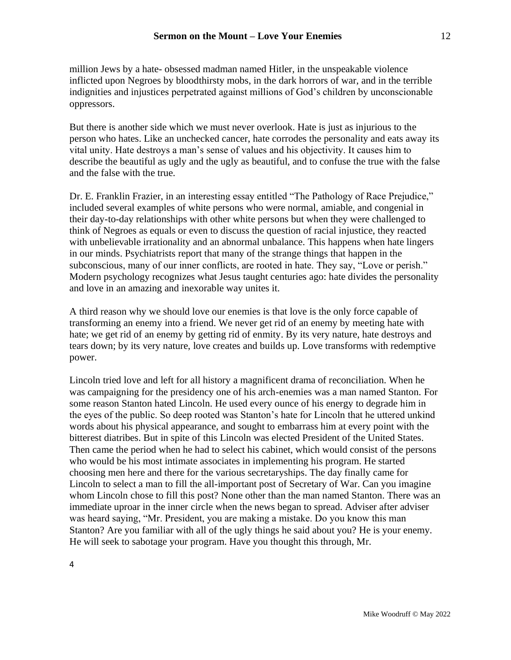million Jews by a hate- obsessed madman named Hitler, in the unspeakable violence inflicted upon Negroes by bloodthirsty mobs, in the dark horrors of war, and in the terrible indignities and injustices perpetrated against millions of God's children by unconscionable oppressors.

But there is another side which we must never overlook. Hate is just as injurious to the person who hates. Like an unchecked cancer, hate corrodes the personality and eats away its vital unity. Hate destroys a man's sense of values and his objectivity. It causes him to describe the beautiful as ugly and the ugly as beautiful, and to confuse the true with the false and the false with the true.

Dr. E. Franklin Frazier, in an interesting essay entitled "The Pathology of Race Prejudice," included several examples of white persons who were normal, amiable, and congenial in their day-to-day relationships with other white persons but when they were challenged to think of Negroes as equals or even to discuss the question of racial injustice, they reacted with unbelievable irrationality and an abnormal unbalance. This happens when hate lingers in our minds. Psychiatrists report that many of the strange things that happen in the subconscious, many of our inner conflicts, are rooted in hate. They say, "Love or perish." Modern psychology recognizes what Jesus taught centuries ago: hate divides the personality and love in an amazing and inexorable way unites it.

A third reason why we should love our enemies is that love is the only force capable of transforming an enemy into a friend. We never get rid of an enemy by meeting hate with hate; we get rid of an enemy by getting rid of enmity. By its very nature, hate destroys and tears down; by its very nature, love creates and builds up. Love transforms with redemptive power.

Lincoln tried love and left for all history a magnificent drama of reconciliation. When he was campaigning for the presidency one of his arch-enemies was a man named Stanton. For some reason Stanton hated Lincoln. He used every ounce of his energy to degrade him in the eyes of the public. So deep rooted was Stanton's hate for Lincoln that he uttered unkind words about his physical appearance, and sought to embarrass him at every point with the bitterest diatribes. But in spite of this Lincoln was elected President of the United States. Then came the period when he had to select his cabinet, which would consist of the persons who would be his most intimate associates in implementing his program. He started choosing men here and there for the various secretaryships. The day finally came for Lincoln to select a man to fill the all-important post of Secretary of War. Can you imagine whom Lincoln chose to fill this post? None other than the man named Stanton. There was an immediate uproar in the inner circle when the news began to spread. Adviser after adviser was heard saying, "Mr. President, you are making a mistake. Do you know this man Stanton? Are you familiar with all of the ugly things he said about you? He is your enemy. He will seek to sabotage your program. Have you thought this through, Mr.

4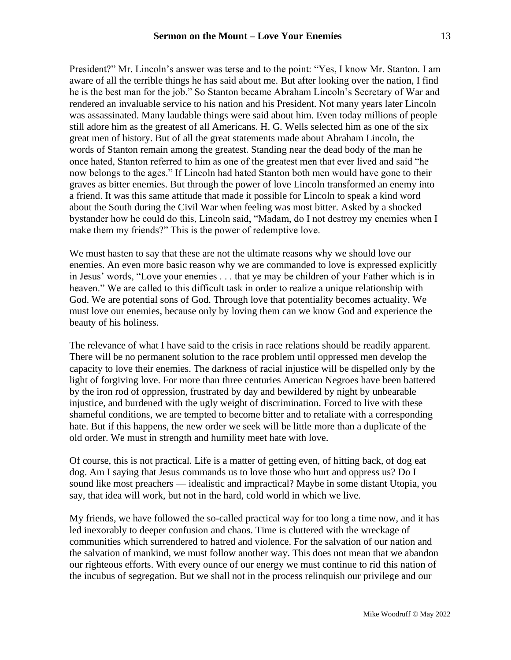President?" Mr. Lincoln's answer was terse and to the point: "Yes, I know Mr. Stanton. I am aware of all the terrible things he has said about me. But after looking over the nation, I find he is the best man for the job." So Stanton became Abraham Lincoln's Secretary of War and rendered an invaluable service to his nation and his President. Not many years later Lincoln was assassinated. Many laudable things were said about him. Even today millions of people still adore him as the greatest of all Americans. H. G. Wells selected him as one of the six great men of history. But of all the great statements made about Abraham Lincoln, the words of Stanton remain among the greatest. Standing near the dead body of the man he once hated, Stanton referred to him as one of the greatest men that ever lived and said "he now belongs to the ages." If Lincoln had hated Stanton both men would have gone to their graves as bitter enemies. But through the power of love Lincoln transformed an enemy into a friend. It was this same attitude that made it possible for Lincoln to speak a kind word about the South during the Civil War when feeling was most bitter. Asked by a shocked bystander how he could do this, Lincoln said, "Madam, do I not destroy my enemies when I make them my friends?" This is the power of redemptive love.

We must hasten to say that these are not the ultimate reasons why we should love our enemies. An even more basic reason why we are commanded to love is expressed explicitly in Jesus' words, "Love your enemies . . . that ye may be children of your Father which is in heaven." We are called to this difficult task in order to realize a unique relationship with God. We are potential sons of God. Through love that potentiality becomes actuality. We must love our enemies, because only by loving them can we know God and experience the beauty of his holiness.

The relevance of what I have said to the crisis in race relations should be readily apparent. There will be no permanent solution to the race problem until oppressed men develop the capacity to love their enemies. The darkness of racial injustice will be dispelled only by the light of forgiving love. For more than three centuries American Negroes have been battered by the iron rod of oppression, frustrated by day and bewildered by night by unbearable injustice, and burdened with the ugly weight of discrimination. Forced to live with these shameful conditions, we are tempted to become bitter and to retaliate with a corresponding hate. But if this happens, the new order we seek will be little more than a duplicate of the old order. We must in strength and humility meet hate with love.

Of course, this is not practical. Life is a matter of getting even, of hitting back, of dog eat dog. Am I saying that Jesus commands us to love those who hurt and oppress us? Do I sound like most preachers — idealistic and impractical? Maybe in some distant Utopia, you say, that idea will work, but not in the hard, cold world in which we live.

My friends, we have followed the so-called practical way for too long a time now, and it has led inexorably to deeper confusion and chaos. Time is cluttered with the wreckage of communities which surrendered to hatred and violence. For the salvation of our nation and the salvation of mankind, we must follow another way. This does not mean that we abandon our righteous efforts. With every ounce of our energy we must continue to rid this nation of the incubus of segregation. But we shall not in the process relinquish our privilege and our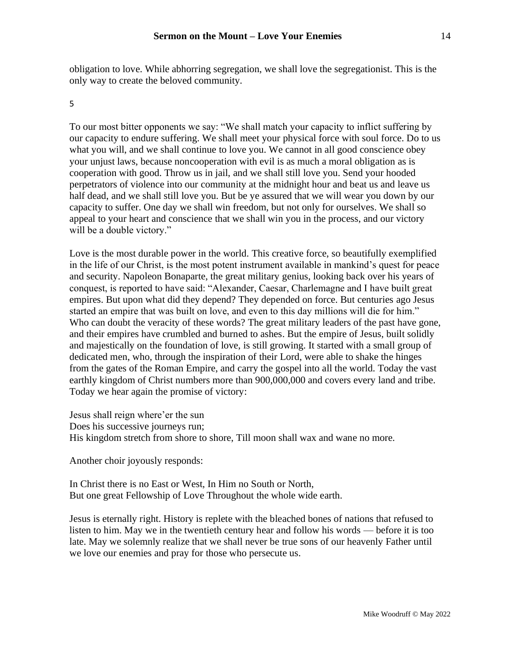obligation to love. While abhorring segregation, we shall love the segregationist. This is the only way to create the beloved community.

5

To our most bitter opponents we say: "We shall match your capacity to inflict suffering by our capacity to endure suffering. We shall meet your physical force with soul force. Do to us what you will, and we shall continue to love you. We cannot in all good conscience obey your unjust laws, because noncooperation with evil is as much a moral obligation as is cooperation with good. Throw us in jail, and we shall still love you. Send your hooded perpetrators of violence into our community at the midnight hour and beat us and leave us half dead, and we shall still love you. But be ye assured that we will wear you down by our capacity to suffer. One day we shall win freedom, but not only for ourselves. We shall so appeal to your heart and conscience that we shall win you in the process, and our victory will be a double victory."

Love is the most durable power in the world. This creative force, so beautifully exemplified in the life of our Christ, is the most potent instrument available in mankind's quest for peace and security. Napoleon Bonaparte, the great military genius, looking back over his years of conquest, is reported to have said: "Alexander, Caesar, Charlemagne and I have built great empires. But upon what did they depend? They depended on force. But centuries ago Jesus started an empire that was built on love, and even to this day millions will die for him." Who can doubt the veracity of these words? The great military leaders of the past have gone, and their empires have crumbled and burned to ashes. But the empire of Jesus, built solidly and majestically on the foundation of love, is still growing. It started with a small group of dedicated men, who, through the inspiration of their Lord, were able to shake the hinges from the gates of the Roman Empire, and carry the gospel into all the world. Today the vast earthly kingdom of Christ numbers more than 900,000,000 and covers every land and tribe. Today we hear again the promise of victory:

Jesus shall reign where'er the sun Does his successive journeys run; His kingdom stretch from shore to shore, Till moon shall wax and wane no more.

Another choir joyously responds:

In Christ there is no East or West, In Him no South or North, But one great Fellowship of Love Throughout the whole wide earth.

Jesus is eternally right. History is replete with the bleached bones of nations that refused to listen to him. May we in the twentieth century hear and follow his words — before it is too late. May we solemnly realize that we shall never be true sons of our heavenly Father until we love our enemies and pray for those who persecute us.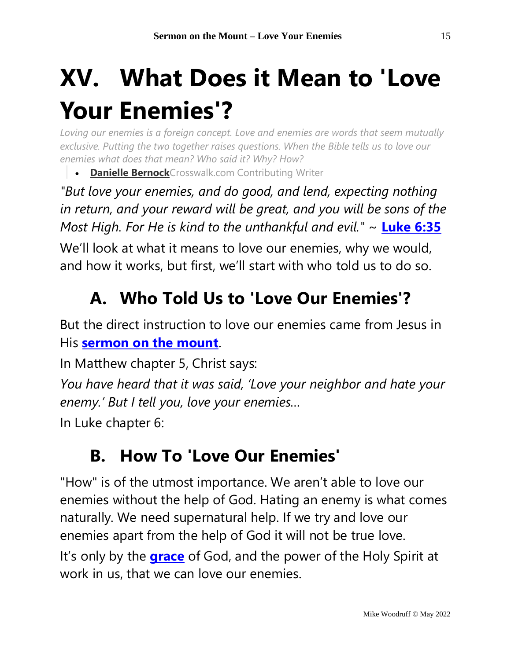# **XV. What Does it Mean to 'Love Your Enemies'?**

*Loving our enemies is a foreign concept. Love and enemies are words that seem mutually exclusive. Putting the two together raises questions. When the Bible tells us to love our enemies what does that mean? Who said it? Why? How?*

**[Danielle Bernock](https://www.christianity.com/author/danielle-bernock/)**Crosswalk.com Contributing Writer

*"But love your enemies, and do good, and lend, expecting nothing in return, and your reward will be great, and you will be sons of the Most High. For He is kind to the unthankful and evil."* ~ **[Luke 6:35](http://www.christianity.com/bible/search/?ver=niv&q=luke+6:35)**

We'll look at what it means to love our enemies, why we would, and how it works, but first, we'll start with who told us to do so.

# **A. Who Told Us to 'Love Our Enemies'?**

But the direct instruction to love our enemies came from Jesus in His **[sermon on the mount](https://www.christianity.com/wiki/bible/what-is-the-sermon-on-the-mount.html)**.

In Matthew chapter 5, Christ says:

*You have heard that it was said, 'Love your neighbor and hate your enemy.' But I tell you, love your enemies…*

In Luke chapter 6:

# **B. How To 'Love Our Enemies'**

"How" is of the utmost importance. We aren't able to love our enemies without the help of God. Hating an enemy is what comes naturally. We need supernatural help. If we try and love our enemies apart from the help of God it will not be true love. It's only by the **[grace](https://www.christianity.com/theology/what-is-grace.html)** of God, and the power of the Holy Spirit at work in us, that we can love our enemies.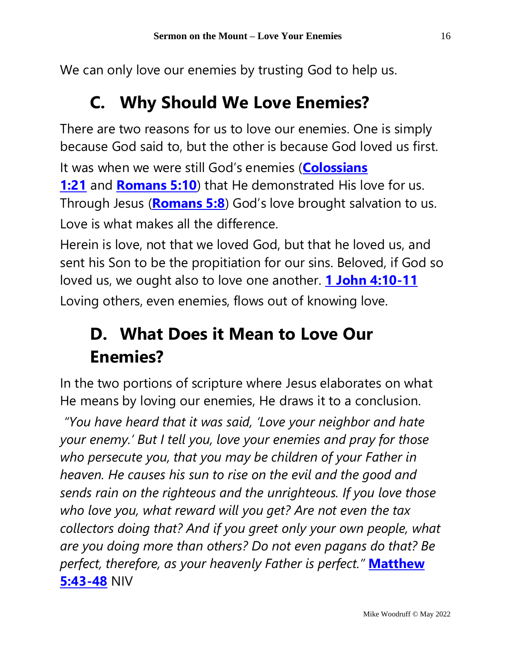We can only love our enemies by trusting God to help us.

### **C. Why Should We Love Enemies?**

There are two reasons for us to love our enemies. One is simply because God said to, but the other is because God loved us first.

It was when we were still God's enemies (**[Colossians](http://www.christianity.com/bible/search/?ver=niv&q=colossians+1:21)** 

**[1:21](http://www.christianity.com/bible/search/?ver=niv&q=colossians+1:21)** and **[Romans 5:10](http://www.christianity.com/bible/search/?ver=niv&q=romans+5:10)**) that He demonstrated His love for us. Through Jesus (**[Romans 5:8](http://www.christianity.com/bible/search/?ver=niv&q=romans+5:8)**) God's love brought salvation to us. Love is what makes all the difference.

Herein is love, not that we loved God, but that he loved us, and sent his Son to be the propitiation for our sins. Beloved, if God so loved us, we ought also to love one another. **[1 John 4:10-11](http://www.christianity.com/bible/search/?ver=niv&q=1+john+4%3a10-11)** Loving others, even enemies, flows out of knowing love.

# **D. What Does it Mean to Love Our Enemies?**

In the two portions of scripture where Jesus elaborates on what He means by loving our enemies, He draws it to a conclusion.

*"You have heard that it was said, 'Love your neighbor and hate your enemy.' But I tell you, love your enemies and pray for those who persecute you, that you may be children of your Father in heaven. He causes his sun to rise on the evil and the good and sends rain on the righteous and the unrighteous. If you love those who love you, what reward will you get? Are not even the tax collectors doing that? And if you greet only your own people, what are you doing more than others? Do not even pagans do that? Be perfect, therefore, as your heavenly Father is perfect."* **[Matthew](http://www.christianity.com/bible/search/?ver=niv&q=matthew+5%3a43-48)  [5:43-48](http://www.christianity.com/bible/search/?ver=niv&q=matthew+5%3a43-48)** NIV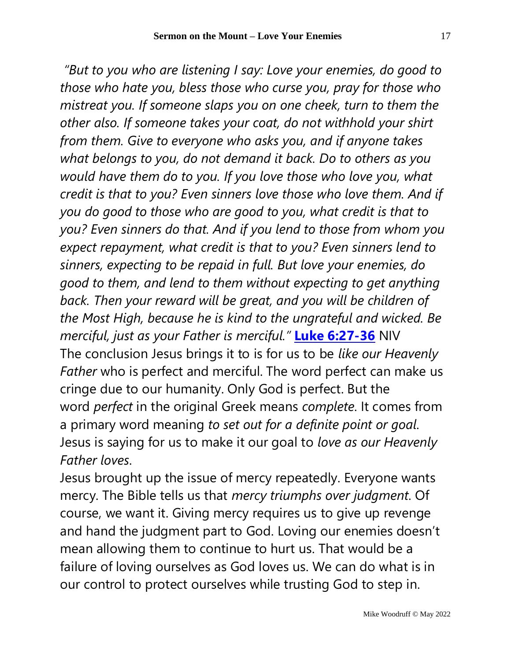*"But to you who are listening I say: Love your enemies, do good to those who hate you, bless those who curse you, pray for those who mistreat you. If someone slaps you on one cheek, turn to them the other also. If someone takes your coat, do not withhold your shirt from them. Give to everyone who asks you, and if anyone takes what belongs to you, do not demand it back. Do to others as you would have them do to you. If you love those who love you, what credit is that to you? Even sinners love those who love them. And if you do good to those who are good to you, what credit is that to you? Even sinners do that. And if you lend to those from whom you expect repayment, what credit is that to you? Even sinners lend to sinners, expecting to be repaid in full. But love your enemies, do good to them, and lend to them without expecting to get anything*  back. Then your reward will be great, and you will be children of *the Most High, because he is kind to the ungrateful and wicked. Be merciful, just as your Father is merciful."* **[Luke 6:27-36](http://www.christianity.com/bible/search/?ver=niv&q=luke+6%3a27-36)** NIV The conclusion Jesus brings it to is for us to be *like our Heavenly Father* who is perfect and merciful. The word perfect can make us cringe due to our humanity. Only God is perfect. But the word *perfect* in the original Greek means *complete*. It comes from a primary word meaning *to set out for a definite point or goal*. Jesus is saying for us to make it our goal to *love as our Heavenly Father loves*.

Jesus brought up the issue of mercy repeatedly. Everyone wants mercy. The Bible tells us that *mercy triumphs over judgment*. Of course, we want it. Giving mercy requires us to give up revenge and hand the judgment part to God. Loving our enemies doesn't mean allowing them to continue to hurt us. That would be a failure of loving ourselves as God loves us. We can do what is in our control to protect ourselves while trusting God to step in.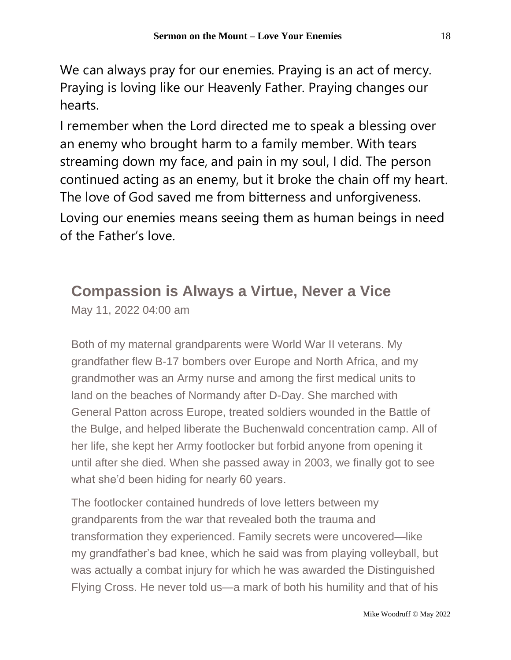We can always pray for our enemies. Praying is an act of mercy. Praying is loving like our Heavenly Father. Praying changes our hearts.

I remember when the Lord directed me to speak a blessing over an enemy who brought harm to a family member. With tears streaming down my face, and pain in my soul, I did. The person continued acting as an enemy, but it broke the chain off my heart. The love of God saved me from bitterness and unforgiveness. Loving our enemies means seeing them as human beings in need of the Father's love.

### **Compassion is Always a Virtue, Never a Vice**

May 11, 2022 04:00 am

Both of my maternal grandparents were World War II veterans. My grandfather flew B-17 bombers over Europe and North Africa, and my grandmother was an Army nurse and among the first medical units to land on the beaches of Normandy after D-Day. She marched with General Patton across Europe, treated soldiers wounded in the Battle of the Bulge, and helped liberate the Buchenwald concentration camp. All of her life, she kept her Army footlocker but forbid anyone from opening it until after she died. When she passed away in 2003, we finally got to see what she'd been hiding for nearly 60 years.

The footlocker contained hundreds of love letters between my grandparents from the war that revealed both the trauma and transformation they experienced. Family secrets were uncovered—like my grandfather's bad knee, which he said was from playing volleyball, but was actually a combat injury for which he was awarded the Distinguished Flying Cross. He never told us—a mark of both his humility and that of his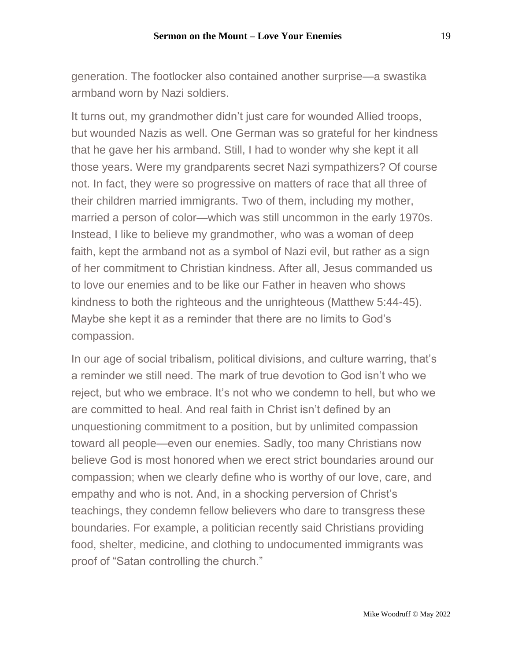generation. The footlocker also contained another surprise—a swastika armband worn by Nazi soldiers.

It turns out, my grandmother didn't just care for wounded Allied troops, but wounded Nazis as well. One German was so grateful for her kindness that he gave her his armband. Still, I had to wonder why she kept it all those years. Were my grandparents secret Nazi sympathizers? Of course not. In fact, they were so progressive on matters of race that all three of their children married immigrants. Two of them, including my mother, married a person of color—which was still uncommon in the early 1970s. Instead, I like to believe my grandmother, who was a woman of deep faith, kept the armband not as a symbol of Nazi evil, but rather as a sign of her commitment to Christian kindness. After all, Jesus commanded us to love our enemies and to be like our Father in heaven who shows kindness to both the righteous and the unrighteous (Matthew 5:44-45). Maybe she kept it as a reminder that there are no limits to God's compassion.

In our age of social tribalism, political divisions, and culture warring, that's a reminder we still need. The mark of true devotion to God isn't who we reject, but who we embrace. It's not who we condemn to hell, but who we are committed to heal. And real faith in Christ isn't defined by an unquestioning commitment to a position, but by unlimited compassion toward all people—even our enemies. Sadly, too many Christians now believe God is most honored when we erect strict boundaries around our compassion; when we clearly define who is worthy of our love, care, and empathy and who is not. And, in a shocking perversion of Christ's teachings, they condemn fellow believers who dare to transgress these boundaries. For example, a politician recently said Christians providing food, shelter, medicine, and clothing to undocumented immigrants was proof of "Satan controlling the church."

19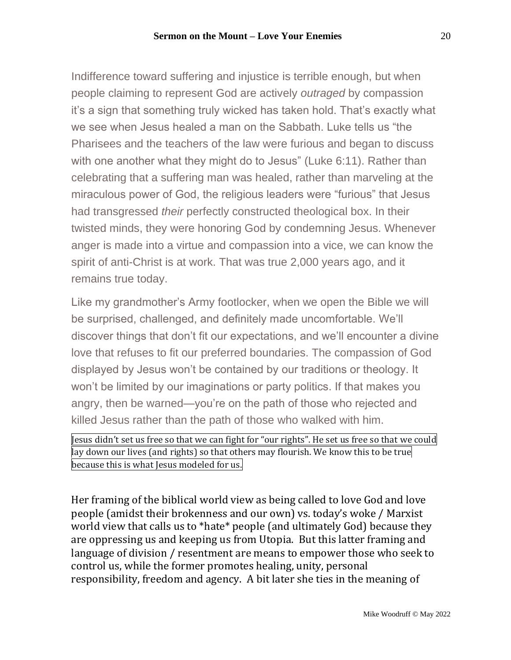Indifference toward suffering and injustice is terrible enough, but when people claiming to represent God are actively *outraged* by compassion it's a sign that something truly wicked has taken hold. That's exactly what we see when Jesus healed a man on the Sabbath. Luke tells us "the Pharisees and the teachers of the law were furious and began to discuss with one another what they might do to Jesus" (Luke 6:11). Rather than celebrating that a suffering man was healed, rather than marveling at the miraculous power of God, the religious leaders were "furious" that Jesus had transgressed *their* perfectly constructed theological box. In their twisted minds, they were honoring God by condemning Jesus. Whenever anger is made into a virtue and compassion into a vice, we can know the spirit of anti-Christ is at work. That was true 2,000 years ago, and it remains true today.

Like my grandmother's Army footlocker, when we open the Bible we will be surprised, challenged, and definitely made uncomfortable. We'll discover things that don't fit our expectations, and we'll encounter a divine love that refuses to fit our preferred boundaries. The compassion of God displayed by Jesus won't be contained by our traditions or theology. It won't be limited by our imaginations or party politics. If that makes you angry, then be warned—you're on the path of those who rejected and killed Jesus rather than the path of those who walked with him.

Jesus didn't set us free so that we can fight for "our rights". He set us free so that we could lay down our lives (and rights) so that others may flourish. We know this to be true because this is what Jesus modeled for us.

Her framing of the biblical world view as being called to love God and love people (amidst their brokenness and our own) vs. today's woke / Marxist world view that calls us to \*hate\* people (and ultimately God) because they are oppressing us and keeping us from Utopia. But this latter framing and language of division / resentment are means to empower those who seek to control us, while the former promotes healing, unity, personal responsibility, freedom and agency. A bit later she ties in the meaning of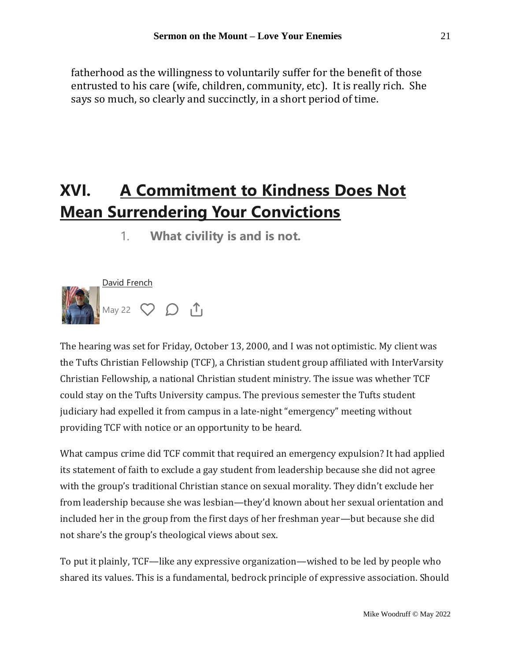fatherhood as the willingness to voluntarily suffer for the benefit of those entrusted to his care (wife, children, community, etc). It is really rich. She says so much, so clearly and succinctly, in a short period of time.

### **XVI. [A Commitment to Kindness Does Not](https://email.mg-d1.substack.com/c/eJxNUk2PmzAQ_TXhBjI2nwcfos2mSrqQ7VZtdk_IsYdgQmxkTFn49TWbHirZlvzmvZnRvOHMwlWbmfZ6sN76VHbugSqYhg6sBeONA5hKCppFhCQp8gQl-QVlPPHkUNUG4M5kR71-vHSSMyu1Wtk4TJPYayiP0pBjjDOIYkgzkkc5S_Oai8zFCRGPmmwUEhQHCn_AzFqBx_X9DsquqbyONtb2w4ZsN3jvjiuqeNMbGIbANiDk0DPLm8BpXLR3l_mrXto1hW-1f5NKKEf3hYbBV9puyN7qG6gN2cF8dB3-nt9xdzu0Oip3xVK2fHp5Ok4XUqJ_eFi226lctkvxc5LsvEcO-yzbX0vRPofl7uPT8XtOCnmSx0mcD9bhxMWlwxf3_8LXfC_vx-7jXCJ2zseDQoHicdJuT9-ez-zN5G-RFU_FLe389vsnmZeF_1jkaXx9LfDIPUkxwhjFGIeIIJIEJMjCiMR1XmMATtI83UTofvVFGAzjZbCM39axeIbeJ62FGevaEXhj5OAmNhreyC7Q5rraV60zG5W0cwWKXToQ1JoRPPtYji-fqysoMG5pRMUsDZ2FOIyjxJmNHk46v-IEoRSR0HMdCO1Uiv7n2F_WmdUF)  [Mean Surrendering Your Convictions](https://email.mg-d1.substack.com/c/eJxNUk2PmzAQ_TXhBjI2nwcfos2mSrqQ7VZtdk_IsYdgQmxkTFn49TWbHirZlvzmvZnRvOHMwlWbmfZ6sN76VHbugSqYhg6sBeONA5hKCppFhCQp8gQl-QVlPPHkUNUG4M5kR71-vHSSMyu1Wtk4TJPYayiP0pBjjDOIYkgzkkc5S_Oai8zFCRGPmmwUEhQHCn_AzFqBx_X9DsquqbyONtb2w4ZsN3jvjiuqeNMbGIbANiDk0DPLm8BpXLR3l_mrXto1hW-1f5NKKEf3hYbBV9puyN7qG6gN2cF8dB3-nt9xdzu0Oip3xVK2fHp5Ok4XUqJ_eFi226lctkvxc5LsvEcO-yzbX0vRPofl7uPT8XtOCnmSx0mcD9bhxMWlwxf3_8LXfC_vx-7jXCJ2zseDQoHicdJuT9-ez-zN5G-RFU_FLe389vsnmZeF_1jkaXx9LfDIPUkxwhjFGIeIIJIEJMjCiMR1XmMATtI83UTofvVFGAzjZbCM39axeIbeJ62FGevaEXhj5OAmNhreyC7Q5rraV60zG5W0cwWKXToQ1JoRPPtYji-fqysoMG5pRMUsDZ2FOIyjxJmNHk46v-IEoRSR0HMdCO1Uiv7n2F_WmdUF)**

1. **What civility is and is not.**



The hearing was set for Friday, October 13, 2000, and I was not optimistic. My client was the Tufts Christian Fellowship (TCF), a Christian student group affiliated with InterVarsity Christian Fellowship, a national Christian student ministry. The issue was whether TCF could stay on the Tufts University campus. The previous semester the Tufts student judiciary had expelled it from campus in a late-night "emergency" meeting without providing TCF with notice or an opportunity to be heard.

What campus crime did TCF commit that required an emergency expulsion? It had applied its statement of faith to exclude a gay student from leadership because she did not agree with the group's traditional Christian stance on sexual morality. They didn't exclude her from leadership because she was lesbian—they'd known about her sexual orientation and included her in the group from the first days of her freshman year—but because she did not share's the group's theological views about sex.

To put it plainly, TCF—like any expressive organization—wished to be led by people who shared its values. This is a fundamental, bedrock principle of expressive association. Should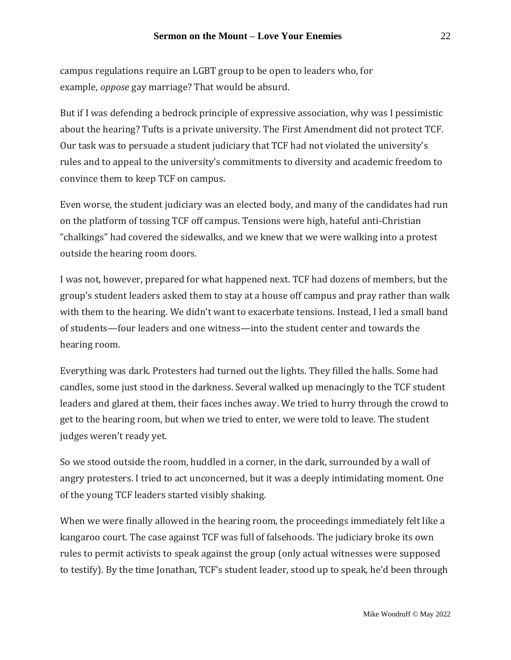campus regulations require an LGBT group to be open to leaders who, for example, *oppose* gay marriage? That would be absurd.

But if I was defending a bedrock principle of expressive association, why was I pessimistic about the hearing? Tufts is a private university. The First Amendment did not protect TCF. Our task was to persuade a student judiciary that TCF had not violated the university's rules and to appeal to the university's commitments to diversity and academic freedom to convince them to keep TCF on campus.

Even worse, the student judiciary was an elected body, and many of the candidates had run on the platform of tossing TCF off campus. Tensions were high, hateful anti-Christian "chalkings" had covered the sidewalks, and we knew that we were walking into a protest outside the hearing room doors.

I was not, however, prepared for what happened next. TCF had dozens of members, but the group's student leaders asked them to stay at a house off campus and pray rather than walk with them to the hearing. We didn't want to exacerbate tensions. Instead, I led a small band of students—four leaders and one witness—into the student center and towards the hearing room.

Everything was dark. Protesters had turned out the lights. They filled the halls. Some had candles, some just stood in the darkness. Several walked up menacingly to the TCF student leaders and glared at them, their faces inches away. We tried to hurry through the crowd to get to the hearing room, but when we tried to enter, we were told to leave. The student judges weren't ready yet.

So we stood outside the room, huddled in a corner, in the dark, surrounded by a wall of angry protesters. I tried to act unconcerned, but it was a deeply intimidating moment. One of the young TCF leaders started visibly shaking.

When we were finally allowed in the hearing room, the proceedings immediately felt like a kangaroo court. The case against TCF was full of falsehoods. The judiciary broke its own rules to permit activists to speak against the group (only actual witnesses were supposed to testify). By the time Jonathan, TCF's student leader, stood up to speak, he'd been through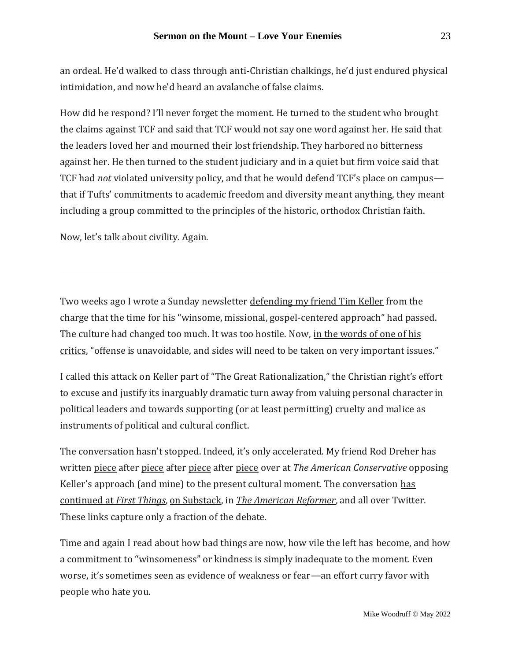an ordeal. He'd walked to class through anti-Christian chalkings, he'd just endured physical intimidation, and now he'd heard an avalanche of false claims.

How did he respond? I'll never forget the moment. He turned to the student who brought the claims against TCF and said that TCF would not say one word against her. He said that the leaders loved her and mourned their lost friendship. They harbored no bitterness against her. He then turned to the student judiciary and in a quiet but firm voice said that TCF had *not* violated university policy, and that he would defend TCF's place on campus that if Tufts' commitments to academic freedom and diversity meant anything, they meant including a group committed to the principles of the historic, orthodox Christian faith.

Now, let's talk about civility. Again.

Two weeks ago I wrote a Sunday newsletter [defending my friend Tim Keller](https://email.mg-d1.substack.com/c/eJxNkcluxCAMhp9muCViyTYHDpWqeY2IGGeCSiAF01HevqRzqWT74uW3P4MhfMZ06iNmYleY6TxQB3xlj0SYWMmYZmf11Ck1jJxZre4Ln2BgLs9rQtyN85odZfEODLkYrmopxqFnm4Z1EtNdgOICBwAxKrtC15lOdBPvzfLWNMU6DIAafzCdMSCDuO8Y6BrFvN6IjnxTHzf5qFZFA2xHwpxb2tC6fBiCra09NXtUNw0kR-67YBPXhtzefKH3mJpUBYyvox7VP1_Macml5L2Ugiuuhla1k-hUv95XiQhqvI-3ju_Pxoo2lyWTga9LhyW9v2K0qaxrLYAtuVxXKAk259uYnheP-TqiBEfnjMEsHq2mVJDRm_YfuPmJAVP9gp0NaTH0Soq-Gyo9_kZTAfQD5yNXgtUNbKxdQf9D8AvZ6pmx) from the charge that the time for his "winsome, missional, gospel-centered approach" had passed. The culture had changed too much. It was too hostile. Now, [in the words of one of his](https://email.mg-d1.substack.com/c/eJwlkcuOhSAMhp_msNNwEdQFi9nMaxiFqmQQDBSd8_aDc5KmTZq_t69mRthieuszZiSPm_B9gg5wZw-IkEjJkCZn9dAJoXpKrBbjQgejiMvTmgCO2XlNzrJ4Z2Z0MTxqznolya57NdBxAMuktQPr54HKdRFqYAuAtWb8zJyLdRAMaLggvWMAYuJxQMCnFfF6RzzzS3y9-He1-77b1aWMuLuw5bZqnywsDfwaX7K7INcEp5zXQGV1e7wb18AV_QW2iaFBdzQ_4H090OlHSSXnjAoqVCvagXVCruPKAYzox_7V0WNrLGtzWTLO5ueZSZI-7hhtKutaBWZPLqPZSzK7821M28Nkeg4pweF7gjAvHqzGVIDgh_g_vGmDAKl-wk4zaqak4Ex2qhKkHzwVglSU9lQwUjewsVYFXdkHs58Jcv4DuEmaaA)  [critics](https://email.mg-d1.substack.com/c/eJwlkcuOhSAMhp_msNNwEdQFi9nMaxiFqmQQDBSd8_aDc5KmTZq_t69mRthieuszZiSPm_B9gg5wZw-IkEjJkCZn9dAJoXpKrBbjQgejiMvTmgCO2XlNzrJ4Z2Z0MTxqznolya57NdBxAMuktQPr54HKdRFqYAuAtWb8zJyLdRAMaLggvWMAYuJxQMCnFfF6RzzzS3y9-He1-77b1aWMuLuw5bZqnywsDfwaX7K7INcEp5zXQGV1e7wb18AV_QW2iaFBdzQ_4H090OlHSSXnjAoqVCvagXVCruPKAYzox_7V0WNrLGtzWTLO5ueZSZI-7hhtKutaBWZPLqPZSzK7821M28Nkeg4pweF7gjAvHqzGVIDgh_g_vGmDAKl-wk4zaqak4Ex2qhKkHzwVglSU9lQwUjewsVYFXdkHs58Jcv4DuEmaaA), "offense is unavoidable, and sides will need to be taken on very important issues."

I called this attack on Keller part of "The Great Rationalization," the Christian right's effort to excuse and justify its inarguably dramatic turn away from valuing personal character in political leaders and towards supporting (or at least permitting) cruelty and malice as instruments of political and cultural conflict.

The conversation hasn't stopped. Indeed, it's only accelerated. My friend Rod Dreher has written [piece](https://email.mg-d1.substack.com/c/eJwlkUGShCAMRU_T7LQQWu1esJjNXMOKEBtmFKwQ2vL2g9NVFGTxk_95scD4SnSaPWUW1zXxuaOJeOQVmZFEyUhTcOZx13oYpXBGP2f5sIMIeVoIcYOwGrGXeQ0WOKR4qVU3Dr3wRmmQgA-puvqMT6tgngEB5DJLaUF9PKG4gNGiwTfSmSIKm7YNI1-jxGo8855v-uumvus5jqNlj7AhVcdoU6wR39X6jW3tqwpH6JFqsSBQA9E1_0X-PbH5QfYQQ2PTHsrWWE8hc4CYq1wEo6RSslc1r5Z6aHX76O66X56LQrR6fI63u9xejevaXObMYH8vT0FmO1JyVJalCj5DrS9kfVjbRK-Lz3R9qsTA54QR5hWdYSoo-EP_H-T0wohUt-ImYNMNvVZdfx8qTflBVYH0g5Sj1J2oCVyqXdHUPUTrd8Kc_wAhb6Fv) after [piece](https://email.mg-d1.substack.com/c/eJwlkU2OwyAMhU9TdokI5HfBYjZzjYgYp0ElEBmnUW8_ZCohi8V7fvZnsIzPRB9zpMziLjN_DjQRrxyQGUmcGWn2zoyt1v0ghTN6WuQIvfB5Xglxtz4YcZxL8GDZp3irVTP0ndiKq23XBccGxgk6p2DpJunstEygtAT7zbSn8xgBDb6RPimigLTvGPluJYLZmI_80D8P9VvedV01b2h3pJIYIcUy4rtEv7EuvqJwhBtS-bDfqxeGgFTZ6CrYyGf2NlaENvi8V0cKnj3kohXeKKmU7JRqpJa6r3U9Nq3u1mlViKCHaXi0cn9WrqnzuWS28LoDBZn9SsnRua5F8A2B7STYfKgTPW84873RGT1_Zox2CegM04mCv-j_Kc5PjEjlJG62bJq-06rp2r6glF9OhUbXSzlI3YgygUvFFU05QoTtIMz5D-DJoCs) after [piece](https://email.mg-d1.substack.com/c/eJxFUUuOhSAQPM1jp-Ej-lywmM1cwyC0SkbBNK3m3X5wXExCOhCquqqrnSWYE37MnjKxuwz02cFEuPIKRIDsyIBD8ObdKNV2nHmj-pG_XctCHiYE2GxYDduPcQ3OUkjxRkvRtZotxnKnmxGkFnbs4C14z3XXN2PppSbu_KNpDx8gOjBwAn5SBObStkGkuxVbzUK055f6esnvcq7rqmkBuwEWxehSLBbPIn1CXXgF4REWwPtiz-Cr4jK6pcLkq-enWsMIaNeQt-qfXh5zslRoLBjJpeRaSsEVV22t6rdolJ76SQI41fXdq-HbXHlR52PMZN3Prc3QbFdKHo9pKgC3YMjklgPdEtY64XznNNzDHTHQZ4BoxxW8ITyA0bOFv0CHGWJxSOAHS0a0Wkmhm7akyp_ISjC65bzjSrDiwKfCiuaZdEfI-Rdz36PN) after [piece](https://email.mg-d1.substack.com/c/eJwlkU2OhSAQhE_z2Gn4EfQtWMxmrmEQ2icZAQOtjrcfHBNCWFR3VX1Yg_BJ-dJbKkjua8RrAx3hLCsgQiZ7gTx6p4dOCNVT4rR4T3SwivgyzhkgGL9qsu3T6q1Bn-Kt5qxXkizaMTrJYRisk4wryimfZ2WkEXToBjWrx9PszkO0oOGAfKUIxKYQIOK9iqx6QdzKS3y9-Hc953m2uIAJkKtjtCnWiEe1PqCtc1XhMiyQ6wN9aH5gXSE3zhzeNTVwtEsTrt8UDKbiS2OX7At6E0sdIF7XjJxKzhkVVKhWtAPrhJzfMwewon_3r46GT-NYW_apoLE_tyvJOpwpubzPcxU8S-2yZ7v4tU35cxMa71p79HiNEM20gtOYdyD48P9HOX4gQq7_4kaDmikpOJOdqjzpA6sikYrSngpGagJXi_ion2JbhlL-ACfSoW0) over at *The American Conservative* opposing Keller's approach (and mine) to the present cultural moment. The conversation has [continued at](https://email.mg-d1.substack.com/c/eJwlkcuupCAQhp-m2Wm4iLQLFmczr2G4lEpawUBxHN9-cDohRVL8VP31lTMIa8q3PlNB8oQZ7xN0hKvsgAiZ1AJ5Dl6_ByFGRYnXYrL07UYSyrxkgMOEXZOz2j04gyHFR82ZGiXZtHCDssJPbFJWqkVQLj3jnCpqnLLv8dvTVB8gOtDwC_lOEYhLxwERn1Jk1xviWV7i58X_tHNdV7-EXBC3ENfSN-2TBdvBX7fXEn6htASnnLeLyhbQfMBc5i7dktPR4QadB9uG71Lr2GE4ug_sO-TS3kL2XdOSoJ8SVHLOqKBi7EX_ZoOQy7RwACfUpF4DPdbOs75UW9C4z2OGZH1cKflcl6UJ3JZDQbfV7Law9ymvD6z5mbDGgPcM0dgdvMZcgeB3Ff-pzitEyM2lnw1qNkrBmRzGhpZ-uTU6cqQNpmCkOfCp_Yq6LSW67cxQyj83OqNN) *[First Things](https://email.mg-d1.substack.com/c/eJwlkcuupCAQhp-m2Wm4iLQLFmczr2G4lEpawUBxHN9-cDohRVL8VP31lTMIa8q3PlNB8oQZ7xN0hKvsgAiZ1AJ5Dl6_ByFGRYnXYrL07UYSyrxkgMOEXZOz2j04gyHFR82ZGiXZtHCDssJPbFJWqkVQLj3jnCpqnLLv8dvTVB8gOtDwC_lOEYhLxwERn1Jk1xviWV7i58X_tHNdV7-EXBC3ENfSN-2TBdvBX7fXEn6htASnnLeLyhbQfMBc5i7dktPR4QadB9uG71Lr2GE4ug_sO-TS3kL2XdOSoJ8SVHLOqKBi7EX_ZoOQy7RwACfUpF4DPdbOs75UW9C4z2OGZH1cKflcl6UJ3JZDQbfV7Law9ymvD6z5mbDGgPcM0dgdvMZcgeB3Ff-pzitEyM2lnw1qNkrBmRzGhpZ-uTU6cqQNpmCkOfCp_Yq6LSW67cxQyj83OqNN)*, [on Substack,](https://email.mg-d1.substack.com/c/eJxVkc2OhCAQhJ9Gbhp-FGcOHDbZ7GsYhFbJKpimmcm8_eLMaRPgQkF9XeUswZrwZc6UiV3HRK8TTIRn3oEIkJUMOAVvbr1SeuTMG3Wf-c1pFvK0IMBhw27YWeY9OEshxUstxagHtpm75ANYrgc9ytn13vP5toAY54GLWQrx8bTFB4gODDwAXykCc-k4INL1FdvNRnTmRn018qcuazFFhBi7XOZM1v12VV4vzrppg5a2itU-E-4-t2lp4WHjChfeHvLRjotr1E-hY8qpoINGfb-HaKSuJt_IgpFcVnApBVdc6U51N9GrYbkvEsCp8T42PT_W1ot_CAzN8UzJY1mWKnAbhkxuqx5b2LuE65XSdI1WYqDXBNHOO3hDWIDRp4M3ybRCBKzd-MmSEXpQUgy9rpnyT2A1lkFzPnIlWCXwqb6KprYR3XYi5PwHR1ihDw) in *[The American Reformer](https://email.mg-d1.substack.com/c/eJwlkd2OhCAMhZ9muNPwo6gXXOzNvoZBqCNZBFPKTubtF3cSUprmlB6-OkvwzPg2Vy7E7rDS-wKT4FUiEAGyWgDX4M08KKUnzrxRy8Znp1ko644Apw3RsKtuMThLIadbLcWkR3YYrjY5CzXzZbHeerV5OezLPo960l5M22emrT5AcmDgF_CdEzCXzxMS3U-xaA6iqzzU10N-t2NPwDYqIewZW95nfLay5FK2i48t0BFKZ5GCi9C1NGXq7JYrdRTO7gdiBGwyFszdxUcpBVdc6V71sxjU2CxKAKemZXoM_Hx2XvSlboWs--mbN4bmfOXsse57E7gDQyF3VHRHiLefm8d6f6KmQO8Vkt0ieENYgdGH9j-49QkJsG3Br5aM0KOSYhx0o8c_aBqAUXM-cSVYc-Bz60qmcU_uuBBK-QNQMpgx)*, and all over Twitter. These links capture only a fraction of the debate.

Time and again I read about how bad things are now, how vile the left has become, and how a commitment to "winsomeness" or kindness is simply inadequate to the moment. Even worse, it's sometimes seen as evidence of weakness or fear—an effort curry favor with people who hate you.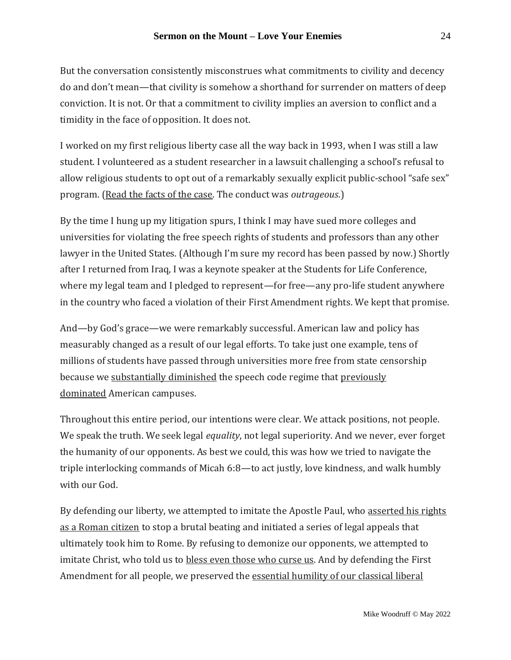But the conversation consistently misconstrues what commitments to civility and decency do and don't mean—that civility is somehow a shorthand for surrender on matters of deep conviction. It is not. Or that a commitment to civility implies an aversion to conflict and a timidity in the face of opposition. It does not.

I worked on my first religious liberty case all the way back in 1993, when I was still a law student. I volunteered as a student researcher in a lawsuit challenging a school's refusal to allow religious students to opt out of a remarkably sexually explicit public-school "safe sex" program. [\(Read the facts of the case.](https://email.mg-d1.substack.com/c/eJwlkMuOhCAQRb-m2bXhodAuWMxmfsNgUSoZBQPFdPz7wemkUpXc3HodcIRrypc9UyF2p4muE23Ed9mRCDOrBfMUvH31SmnDmbdqnPkLNAtlWjLi4cJu2VnnPYCjkOLtlsLogW128YYPveTCOINcvRSMCgbd6145xyV8drrqA0ZAi7-YrxSRQToOjHSPYrvdiM7yUF8P-d0CXMHdvbslRH_X5m1qLU9R6AkhQw3UBMFFb0bZbXTsLFjJpeSDlIIrrnSnupfo1bCMi0QEZUbz6PmxPr3oSp0LOfi5B7Nsj3dKPtdlaQbYcigEW82whb1Leb0fn-5rawx0TRjdvKO3lCsy-mD9JzStGDE33H5yZIUelBRDrxsm_mHQPh0054YrwdoFPrWuaBvgCNuZsZQ_CGKPfA) The conduct was *outrageous*.)

By the time I hung up my litigation spurs, I think I may have sued more colleges and universities for violating the free speech rights of students and professors than any other lawyer in the United States. (Although I'm sure my record has been passed by now.) Shortly after I returned from Iraq, I was a keynote speaker at the Students for Life Conference, where my legal team and I pledged to represent—for free—any pro-life student anywhere in the country who faced a violation of their First Amendment rights. We kept that promise.

And—by God's grace—we were remarkably successful. American law and policy has measurably changed as a result of our legal efforts. To take just one example, tens of millions of students have passed through universities more free from state censorship because we [substantially diminished](https://email.mg-d1.substack.com/c/eJxdUc2uniAQfRrZ1SAIfi5YNO29Sbd9AaMwKLkKBoba7-0LumtCyGR-zsw5R88Ia4hvdYaEpH4Tvk9QHq60AyJEkhPEyRn16jmXAyVG8XGhLy2JS5ONAMfsdkXOvOxOz-iCr92sG6QgmxppRxfgs-TAFhj7UWptuFgst2KkRjw752wceA0K_kB8Bw9Eh-MAjxWK7GpDPFPDvzfss7zrulrcwLoIbYhryURIIUcNqcTpDLi7dcM7f4aI6R7jdX74KD_CX2z4z89fvz8aNpSqYLQQhoR3mE4Avd2hDgbu4AFq2I9K-P-uWLc9MME-RcymXJ9a4hSjjFHBWEc55bLl7avrubCjZQWAD-PQ9PRYv5muTXlJOOuvtpAnUR1XCCZma0uD3qJLqLdCcnN7ZV0Fn6pK2Tt8T-DnZQejMGYg-Nh5OzOt4CEWm800o-qk4KwTvSz20Ef7orCQlA6Ud6RcYEKZ8qrw9Ho7i7DpH4FHtaA) the speech code regime that [previously](https://email.mg-d1.substack.com/c/eJw1kUvO3CAQhE8z7LB4-DULFtnkGpYNjUGxwYIm1tw-7X8UCbFA1cVX1XZF2HP5mCtXZM-14OcCk-CuByBCYa1CWaIzc6_1OAnmjH5vYrYji3XxBeBc42HY1bYj2hVjTo9ayWkcWDBez0Kts1RT7zap7eSE09C_Jfh5nr38_rk2FyFZMPAXyicnYDafJyR8rNhhAuJVX_rXS_2mc993hwF8LNDlstNLvTIecQ_Ic-L1ArCB2-ygciWk4CTmFSkqz54_yP81pM6t8PSDXbldz4viVnJk0SihlBiUkkILPXa6m2WvB__2imb19J5evTh37mRX20b29k9H1KyY887ZleY9CWwosaINrdgQjwf3aWp54rUU8bNAWrcDnMHSgOF3Dz-VLjskKATtlhWNHAet5NCP1Kv4lkbVDKMQk9CSEYHLNJUMxUs2XAVq_QdYLKMU)  [dominated](https://email.mg-d1.substack.com/c/eJw1kUvO3CAQhE8z7LB4-DULFtnkGpYNjUGxwYIm1tw-7X8UCbFA1cVX1XZF2HP5mCtXZM-14OcCk-CuByBCYa1CWaIzc6_1OAnmjH5vYrYji3XxBeBc42HY1bYj2hVjTo9ayWkcWDBez0Kts1RT7zap7eSE09C_Jfh5nr38_rk2FyFZMPAXyicnYDafJyR8rNhhAuJVX_rXS_2mc993hwF8LNDlstNLvTIecQ_Ic-L1ArCB2-ygciWk4CTmFSkqz54_yP81pM6t8PSDXbldz4viVnJk0SihlBiUkkILPXa6m2WvB__2imb19J5evTh37mRX20b29k9H1KyY887ZleY9CWwosaINrdgQjwf3aWp54rUU8bNAWrcDnMHSgOF3Dz-VLjskKATtlhWNHAet5NCP1Kv4lkbVDKMQk9CSEYHLNJUMxUs2XAVq_QdYLKMU) American campuses.

Throughout this entire period, our intentions were clear. We attack positions, not people. We speak the truth. We seek legal *equality*, not legal superiority. And we never, ever forget the humanity of our opponents. As best we could, this was how we tried to navigate the triple interlocking commands of Micah 6:8—to act justly, love kindness, and walk humbly with our God.

By defending our liberty, we attempted to imitate the Apostle Paul, who [asserted his rights](https://email.mg-d1.substack.com/c/eJwlkctuhSAQhp9GdjVcRI4LFidpmnTTZbcGYVRSBcOlxrfv2JMQIOSD-efDmgJLTJc-Yi7knsZyHaADnHmDUiCRmiGN3ulHJ0SvKHFaDBN92J74PM4JYDd-0-So0-atKT6Gm-ZM9ZKsepYTKDWAEoPlk5QgmWBu4rZTjs2Kv2qa6jwECxp-IV0xALFx3yGU-ymy6bWUIzfi2fAPHOd5tpOfNlgw_WmuFmE8PkzOZoGbER8ZTLJrI96ftuSGS045x0U8OX_j4n_HWMN7rJcxMoJfn9_E65ujknNGBRV9K9oH64Sch5kDWKEG1XR0X94ca3OdcjH2565Okt7PGF2q84yAXZPPxa4VI_itjWm59Yx3TzX4co0QDMZ3uqQKpLzk_3scFwiQsC03mqJZLwVnsutRJn2ZQh-yp1RRwQgmcBFvBY3fEOx6JMj5D9V2mgA)  [as a Roman citizen](https://email.mg-d1.substack.com/c/eJwlkctuhSAQhp9GdjVcRI4LFidpmnTTZbcGYVRSBcOlxrfv2JMQIOSD-efDmgJLTJc-Yi7knsZyHaADnHmDUiCRmiGN3ulHJ0SvKHFaDBN92J74PM4JYDd-0-So0-atKT6Gm-ZM9ZKsepYTKDWAEoPlk5QgmWBu4rZTjs2Kv2qa6jwECxp-IV0xALFx3yGU-ymy6bWUIzfi2fAPHOd5tpOfNlgw_WmuFmE8PkzOZoGbER8ZTLJrI96ftuSGS045x0U8OX_j4n_HWMN7rJcxMoJfn9_E65ujknNGBRV9K9oH64Sch5kDWKEG1XR0X94ca3OdcjH2565Okt7PGF2q84yAXZPPxa4VI_itjWm59Yx3TzX4co0QDMZ3uqQKpLzk_3scFwiQsC03mqJZLwVnsutRJn2ZQh-yp1RRwQgmcBFvBY3fEOx6JMj5D9V2mgA) to stop a brutal beating and initiated a series of legal appeals that ultimately took him to Rome. By refusing to demonize our opponents, we attempted to imitate Christ, who told us to [bless even those who curse us.](https://email.mg-d1.substack.com/c/eJwlkM2OhCAQhJ9muK3hXz1w2Mu-hkFoBzIKBpqd-PaLOwmBdFJUV33OIjxzucyZK5L7WvA6wSR41x0QoZBWoSzRm0kKoUdKvBHzSienSazLVgAOG3dDzrbu0VmMOd1qzkatSDBCcq2klIKCd4rNTKx69LOdtLJO8umz0zYfITkw8AvlygmIy8cBCW8rspuAeNaH-H7wn37WuO4Q2jp0UR_39oL-6C8-DQEPEg2nnFPFOaOCCj2IYWJSqG3eOIAT4zw-JD2eX54Nta0VrXvdVqSY452zL23busCFEiu60IoLcR9yed4dlztYSxGvBZLtObzB0oDgh-A_jOUJCUon6xeLhmklOFNSdyL0U7eXUprSkQpGegKf-69kOsvkwlmg1j8KGIgD) And by defending the First Amendment for all people, we preserved the essential humility of our classical liberal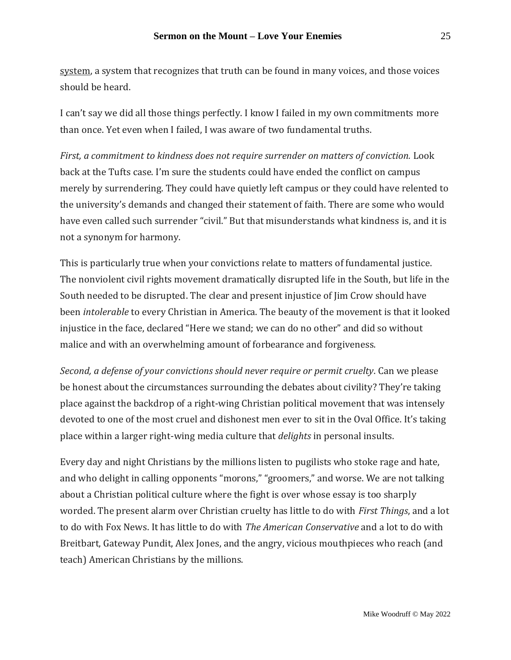[system,](https://email.mg-d1.substack.com/c/eJxNkc1uhSAQhZ9GdhoEQe-CRZOmr2H4GYVUwcDYG9--WDdNgBCYM-fwYTXCmvKljlSQ3MuM1wEqwrtsgAiZnAXyHJyaBs7lSIlT_GXoZCUJZV4ywK7Dpshxmi1YjSHFu5r1oxTEK04Zo4Ohg5gENZOpSmknaYShUA_046lPFyBaUPAD-UoRiE37DhHvVmRTHvEoDf9o2Fcd1TRaf2QopUMPLpRDo_Vd1dTbo07dWp9DwaBj62CBWKBNS6t3yDVjbO2mS6m7reFfte_nmwTF7qSCsZ5yymXHu6kfuFheCwOwfHyNzUD3tXV9V05TUNvv25Bktb9Tcvlcllrw2Fp_ZuvD1qW83mDm-zVnDHjNELXZwCnMJxB8sP8RnFeIkOt3uFmj6qXgrBeDrBjpw6iSEJLSkfKe1AQuVVVU_1j8Agq6nK4) a system that recognizes that truth can be found in many voices, and those voices should be heard.

I can't say we did all those things perfectly. I know I failed in my own commitments more than once. Yet even when I failed, I was aware of two fundamental truths.

*First, a commitment to kindness does not require surrender on matters of conviction.* Look back at the Tufts case. I'm sure the students could have ended the conflict on campus merely by surrendering. They could have quietly left campus or they could have relented to the university's demands and changed their statement of faith. There are some who would have even called such surrender "civil." But that misunderstands what kindness is, and it is not a synonym for harmony.

This is particularly true when your convictions relate to matters of fundamental justice. The nonviolent civil rights movement dramatically disrupted life in the South, but life in the South needed to be disrupted. The clear and present injustice of Jim Crow should have been *intolerable* to every Christian in America. The beauty of the movement is that it looked injustice in the face, declared "Here we stand; we can do no other" and did so without malice and with an overwhelming amount of forbearance and forgiveness.

*Second, a defense of your convictions should never require or permit cruelty*. Can we please be honest about the circumstances surrounding the debates about civility? They're taking place against the backdrop of a right-wing Christian political movement that was intensely devoted to one of the most cruel and dishonest men ever to sit in the Oval Office. It's taking place within a larger right-wing media culture that *delights* in personal insults.

Every day and night Christians by the millions listen to pugilists who stoke rage and hate, and who delight in calling opponents "morons," "groomers," and worse. We are not talking about a Christian political culture where the fight is over whose essay is too sharply worded. The present alarm over Christian cruelty has little to do with *First Things*, and a lot to do with Fox News. It has little to do with *The American Conservative* and a lot to do with Breitbart, Gateway Pundit, Alex Jones, and the angry, vicious mouthpieces who reach (and teach) American Christians by the millions.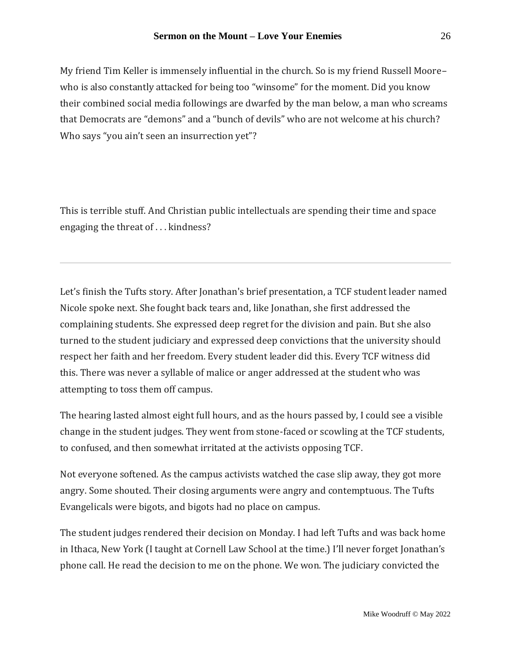My friend Tim Keller is immensely influential in the church. So is my friend Russell Moore– who is also constantly attacked for being too "winsome" for the moment. Did you know their combined social media followings are dwarfed by the man below, a man who screams that Democrats are "demons" and a "bunch of devils" who are not welcome at his church? Who says "you ain't seen an insurrection yet"?

This is terrible stuff. And Christian public intellectuals are spending their time and space engaging the threat of . . . kindness?

Let's finish the Tufts story. After Jonathan's brief presentation, a TCF student leader named Nicole spoke next. She fought back tears and, like Jonathan, she first addressed the complaining students. She expressed deep regret for the division and pain. But she also turned to the student judiciary and expressed deep convictions that the university should respect her faith and her freedom. Every student leader did this. Every TCF witness did this. There was never a syllable of malice or anger addressed at the student who was attempting to toss them off campus.

The hearing lasted almost eight full hours, and as the hours passed by, I could see a visible change in the student judges. They went from stone-faced or scowling at the TCF students, to confused, and then somewhat irritated at the activists opposing TCF.

Not everyone softened. As the campus activists watched the case slip away, they got more angry. Some shouted. Their closing arguments were angry and contemptuous. The Tufts Evangelicals were bigots, and bigots had no place on campus.

The student judges rendered their decision on Monday. I had left Tufts and was back home in Ithaca, New York (I taught at Cornell Law School at the time.) I'll never forget Jonathan's phone call. He read the decision to me on the phone. We won. The judiciary convicted the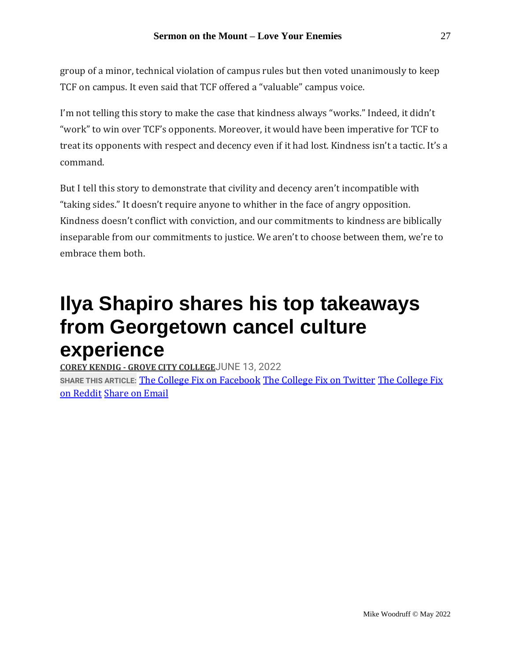group of a minor, technical violation of campus rules but then voted unanimously to keep TCF on campus. It even said that TCF offered a "valuable" campus voice.

I'm not telling this story to make the case that kindness always "works." Indeed, it didn't "work" to win over TCF's opponents. Moreover, it would have been imperative for TCF to treat its opponents with respect and decency even if it had lost. Kindness isn't a tactic. It's a command.

But I tell this story to demonstrate that civility and decency aren't incompatible with "taking sides." It doesn't require anyone to whither in the face of angry opposition. Kindness doesn't conflict with conviction, and our commitments to kindness are biblically inseparable from our commitments to justice. We aren't to choose between them, we're to embrace them both.

# **Ilya Shapiro shares his top takeaways from Georgetown cancel culture experience**

**COREY KENDIG - GROVE CITY [COLLEGE](https://www.thecollegefix.com/author/corey-kendig-grove-city-college/)**JUNE 13, 2022 **SHARE THIS ARTICLE:** The College Fix on [Facebook](http://www.facebook.com/sharer/sharer.php?u=https://www.thecollegefix.com/ilya-shapiro-shares-his-top-takeaways-from-georgetown-cancel-culture-experience/&title=Ilya+Shapiro+shares+his+top+takeaways+from+Georgetown+cancel+culture+experience) The College Fix on [Twitter](http://twitter.com/intent/tweet?text=Ilya+Shapiro+shares+his+top+takeaways+from+Georgetown+cancel+culture+experience+https%3A%2F%2Fwww.thecollegefix.com%2Filya-shapiro-shares-his-top-takeaways-from-georgetown-cancel-culture-experience%2F+via+%40collegefix) The [College](http://www.reddit.com/submit?url=https://www.thecollegefix.com/ilya-shapiro-shares-his-top-takeaways-from-georgetown-cancel-culture-experience/&title=Ilya+Shapiro+shares+his+top+takeaways+from+Georgetown+cancel+culture+experience) Fix on [Reddit](http://www.reddit.com/submit?url=https://www.thecollegefix.com/ilya-shapiro-shares-his-top-takeaways-from-georgetown-cancel-culture-experience/&title=Ilya+Shapiro+shares+his+top+takeaways+from+Georgetown+cancel+culture+experience) [Share](mailto:?subject=thecollegefix.com:%20Ilya%20Shapiro%20shares%20his%20top%20takeaways%20from%20Georgetown%20cancel%20culture%20experience&body=https://www.thecollegefix.com/ilya-shapiro-shares-his-top-takeaways-from-georgetown-cancel-culture-experience/) on Email

27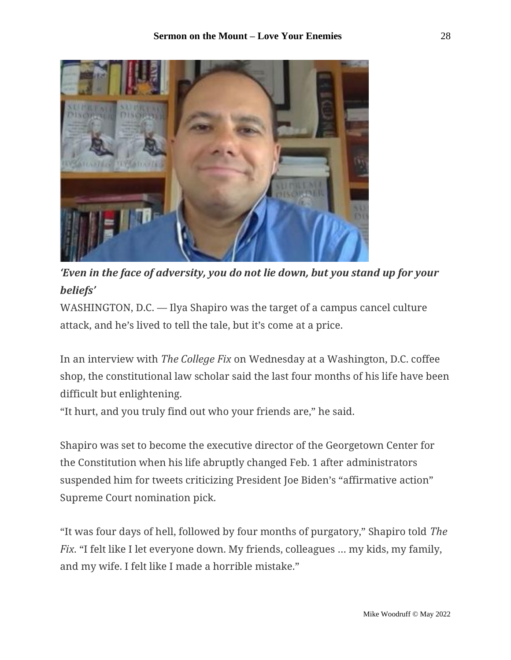

*'Even in the face of adversity, you do not lie down, but you stand up for your beliefs'*

WASHINGTON, D.C. — Ilya Shapiro was the target of a campus cancel culture attack, and he's lived to tell the tale, but it's come at a price.

In an interview with *The College Fix* on Wednesday at a Washington, D.C. coffee shop, the constitutional law scholar said the last four months of his life have been difficult but enlightening.

"It hurt, and you truly find out who your friends are," he said.

Shapiro was set to become the executive director of the Georgetown Center for the Constitution when his life abruptly changed Feb. 1 after administrators suspended him for tweets criticizing President Joe Biden's "affirmative action" Supreme Court nomination pick.

"It was four days of hell, followed by four months of purgatory," Shapiro told *The Fix*. "I felt like I let everyone down. My friends, colleagues … my kids, my family, and my wife. I felt like I made a horrible mistake."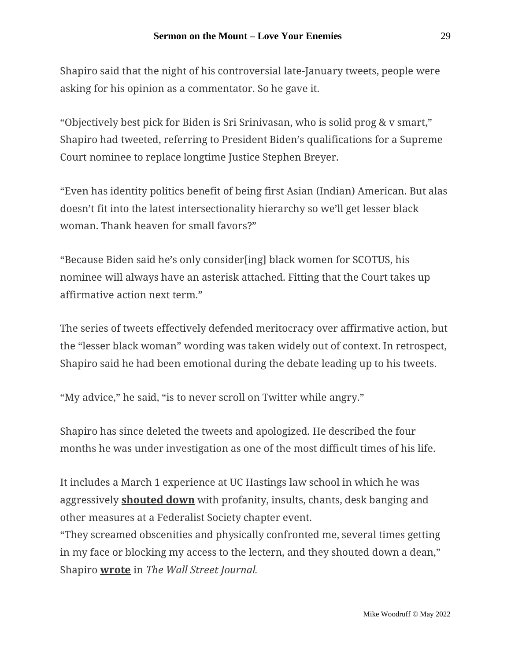Shapiro said that the night of his controversial late-January tweets, people were asking for his opinion as a commentator. So he gave it.

"Objectively best pick for Biden is Sri Srinivasan, who is solid prog & v smart," Shapiro had tweeted, referring to President Biden's qualifications for a Supreme Court nominee to replace longtime Justice Stephen Breyer.

"Even has identity politics benefit of being first Asian (Indian) American. But alas doesn't fit into the latest intersectionality hierarchy so we'll get lesser black woman. Thank heaven for small favors?"

"Because Biden said he's only consider[ing] black women for SCOTUS, his nominee will always have an asterisk attached. Fitting that the Court takes up affirmative action next term."

The series of tweets effectively defended meritocracy over affirmative action, but the "lesser black woman" wording was taken widely out of context. In retrospect, Shapiro said he had been emotional during the debate leading up to his tweets.

"My advice," he said, "is to never scroll on Twitter while angry."

Shapiro has since deleted the tweets and apologized. He described the four months he was under investigation as one of the most difficult times of his life.

It includes a March 1 experience at UC Hastings law school in which he was aggressively **[shouted](https://www.thecollegefix.com/law-school-will-not-punish-law-students-who-shouted-down-conservative-scholar/) down** with profanity, insults, chants, desk banging and other measures at a Federalist Society chapter event.

"They screamed obscenities and physically confronted me, several times getting in my face or blocking my access to the lectern, and they shouted down a dean," Shapiro **[wrote](https://www.wsj.com/articles/mob-rule-at-hastings-law-school-shouting-obscenities-ilya-shapiro-georgetown-yale-law-11647957949)** in *The Wall Street Journal.*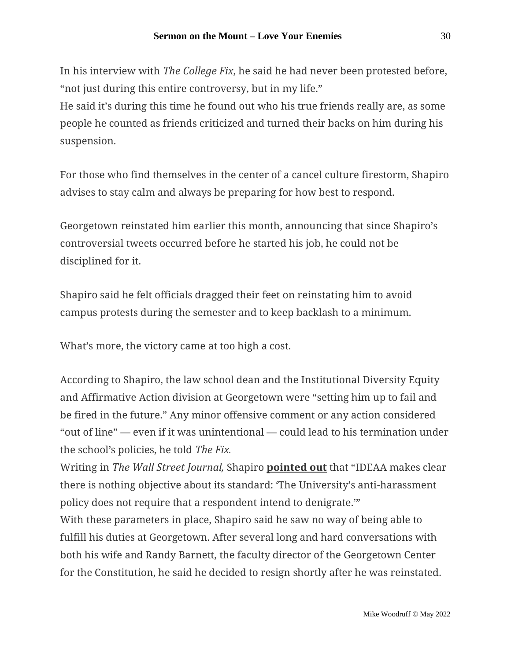In his interview with *The College Fix*, he said he had never been protested before, "not just during this entire controversy, but in my life."

He said it's during this time he found out who his true friends really are, as some people he counted as friends criticized and turned their backs on him during his suspension.

For those who find themselves in the center of a cancel culture firestorm, Shapiro advises to stay calm and always be preparing for how best to respond.

Georgetown reinstated him earlier this month, announcing that since Shapiro's controversial tweets occurred before he started his job, he could not be disciplined for it.

Shapiro said he felt officials dragged their feet on reinstating him to avoid campus protests during the semester and to keep backlash to a minimum.

What's more, the victory came at too high a cost.

According to Shapiro, the law school dean and the Institutional Diversity Equity and Affirmative Action division at Georgetown were "setting him up to fail and be fired in the future." Any minor offensive comment or any action considered "out of line" — even if it was unintentional — could lead to his termination under the school's policies, he told *The Fix.*

Writing in *The Wall Street Journal,* Shapiro **[pointed](https://www.wsj.com/articles/why-i-quit-georgetown-11654479763) out** that "IDEAA makes clear there is nothing objective about its standard: 'The University's anti-harassment policy does not require that a respondent intend to denigrate.'"

With these parameters in place, Shapiro said he saw no way of being able to fulfill his duties at Georgetown. After several long and hard conversations with both his wife and Randy Barnett, the faculty director of the Georgetown Center for the Constitution, he said he decided to resign shortly after he was reinstated.